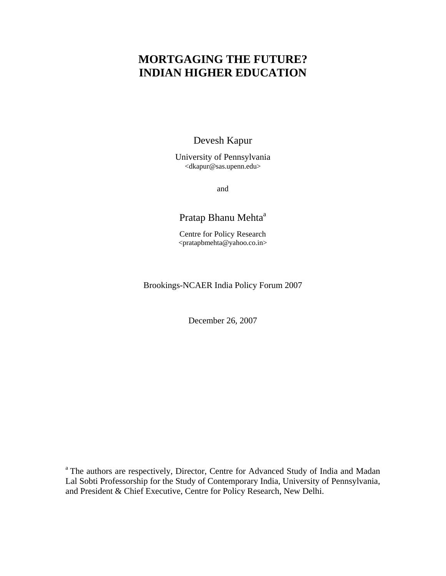# **MORTGAGING THE FUTURE? INDIAN HIGHER EDUCATION**

Devesh Kapur

University of Pennsylvania <dkapur@sas.upenn.edu>

and

# Pratap Bhanu Mehta<sup>a</sup>

Centre for Policy Research <pratapbmehta@yahoo.co.in>

# Brookings-NCAER India Policy Forum 2007

December 26, 2007

<sup>a</sup> The authors are respectively, Director, Centre for Advanced Study of India and Madan Lal Sobti Professorship for the Study of Contemporary India, University of Pennsylvania, and President & Chief Executive, Centre for Policy Research, New Delhi.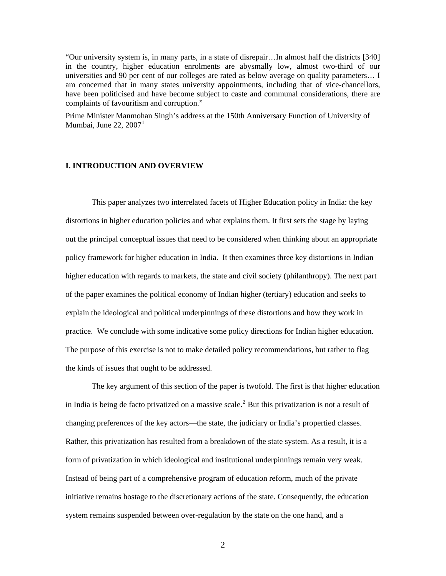"Our university system is, in many parts, in a state of disrepair…In almost half the districts [340] in the country, higher education enrolments are abysmally low, almost two-third of our universities and 90 per cent of our colleges are rated as below average on quality parameters… I am concerned that in many states university appointments, including that of vice-chancellors, have been politicised and have become subject to caste and communal considerations, there are complaints of favouritism and corruption."

Prime Minister Manmohan Singh's address at the 150th Anniversary Function of University of Mumbai, June 22, 2007 $^1$  $^1$ 

#### **I. INTRODUCTION AND OVERVIEW**

This paper analyzes two interrelated facets of Higher Education policy in India: the key distortions in higher education policies and what explains them. It first sets the stage by laying out the principal conceptual issues that need to be considered when thinking about an appropriate policy framework for higher education in India. It then examines three key distortions in Indian higher education with regards to markets, the state and civil society (philanthropy). The next part of the paper examines the political economy of Indian higher (tertiary) education and seeks to explain the ideological and political underpinnings of these distortions and how they work in practice. We conclude with some indicative some policy directions for Indian higher education. The purpose of this exercise is not to make detailed policy recommendations, but rather to flag the kinds of issues that ought to be addressed.

The key argument of this section of the paper is twofold. The first is that higher education in India is being de facto privatized on a massive scale.<sup>[2](#page-56-1)</sup> But this privatization is not a result of changing preferences of the key actors—the state, the judiciary or India's propertied classes. Rather, this privatization has resulted from a breakdown of the state system. As a result, it is a form of privatization in which ideological and institutional underpinnings remain very weak. Instead of being part of a comprehensive program of education reform, much of the private initiative remains hostage to the discretionary actions of the state. Consequently, the education system remains suspended between over-regulation by the state on the one hand, and a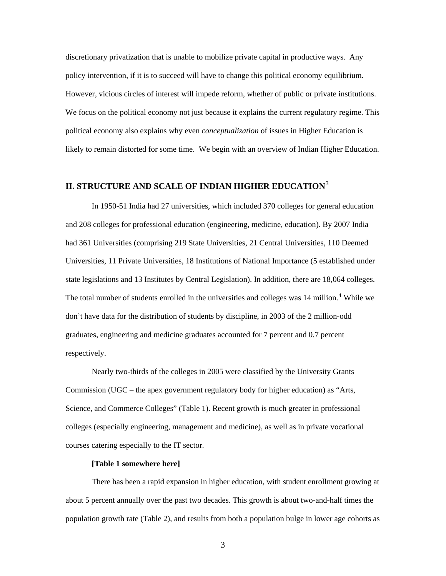discretionary privatization that is unable to mobilize private capital in productive ways. Any policy intervention, if it is to succeed will have to change this political economy equilibrium. However, vicious circles of interest will impede reform, whether of public or private institutions. We focus on the political economy not just because it explains the current regulatory regime. This political economy also explains why even *conceptualization* of issues in Higher Education is likely to remain distorted for some time. We begin with an overview of Indian Higher Education.

# **II. STRUCTURE AND SCALE OF INDIAN HIGHER EDUCATION**[3](#page-56-1)

In 1950-51 India had 27 universities, which included 370 colleges for general education and 208 colleges for professional education (engineering, medicine, education). By 2007 India had 361 Universities (comprising 219 State Universities, 21 Central Universities, 110 Deemed Universities, 11 Private Universities, 18 Institutions of National Importance (5 established under state legislations and 13 Institutes by Central Legislation). In addition, there are 18,064 colleges. The total number of students enrolled in the universities and colleges was 1[4](#page-56-1) million.<sup>4</sup> While we don't have data for the distribution of students by discipline, in 2003 of the 2 million-odd graduates, engineering and medicine graduates accounted for 7 percent and 0.7 percent respectively.

Nearly two-thirds of the colleges in 2005 were classified by the University Grants Commission (UGC – the apex government regulatory body for higher education) as "Arts, Science, and Commerce Colleges" (Table 1). Recent growth is much greater in professional colleges (especially engineering, management and medicine), as well as in private vocational courses catering especially to the IT sector.

# **[Table 1 somewhere here]**

There has been a rapid expansion in higher education, with student enrollment growing at about 5 percent annually over the past two decades. This growth is about two-and-half times the population growth rate (Table 2), and results from both a population bulge in lower age cohorts as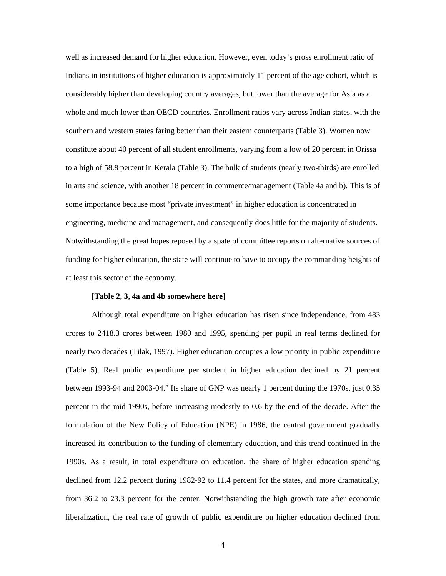well as increased demand for higher education. However, even today's gross enrollment ratio of Indians in institutions of higher education is approximately 11 percent of the age cohort, which is considerably higher than developing country averages, but lower than the average for Asia as a whole and much lower than OECD countries. Enrollment ratios vary across Indian states, with the southern and western states faring better than their eastern counterparts (Table 3). Women now constitute about 40 percent of all student enrollments, varying from a low of 20 percent in Orissa to a high of 58.8 percent in Kerala (Table 3). The bulk of students (nearly two-thirds) are enrolled in arts and science, with another 18 percent in commerce/management (Table 4a and b). This is of some importance because most "private investment" in higher education is concentrated in engineering, medicine and management, and consequently does little for the majority of students. Notwithstanding the great hopes reposed by a spate of committee reports on alternative sources of funding for higher education, the state will continue to have to occupy the commanding heights of at least this sector of the economy.

### **[Table 2, 3, 4a and 4b somewhere here]**

Although total expenditure on higher education has risen since independence, from 483 crores to 2418.3 crores between 1980 and 1995, spending per pupil in real terms declined for nearly two decades (Tilak, 1997). Higher education occupies a low priority in public expenditure (Table 5). Real public expenditure per student in higher education declined by 21 percent between 1993-94 and 2003-04.<sup>[5](#page-56-1)</sup> Its share of GNP was nearly 1 percent during the 1970s, just 0.35 percent in the mid-1990s, before increasing modestly to 0.6 by the end of the decade. After the formulation of the New Policy of Education (NPE) in 1986, the central government gradually increased its contribution to the funding of elementary education, and this trend continued in the 1990s. As a result, in total expenditure on education, the share of higher education spending declined from 12.2 percent during 1982-92 to 11.4 percent for the states, and more dramatically, from 36.2 to 23.3 percent for the center. Notwithstanding the high growth rate after economic liberalization, the real rate of growth of public expenditure on higher education declined from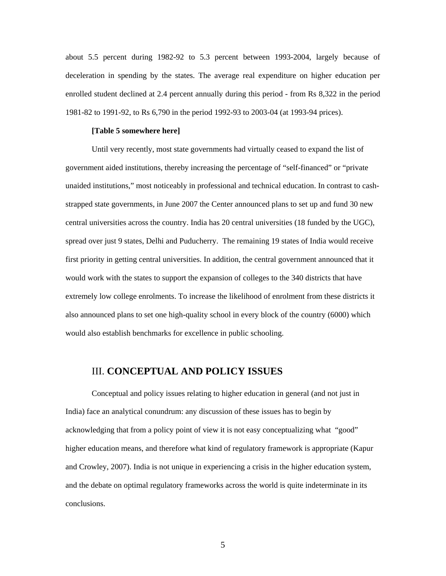about 5.5 percent during 1982-92 to 5.3 percent between 1993-2004, largely because of deceleration in spending by the states. The average real expenditure on higher education per enrolled student declined at 2.4 percent annually during this period - from Rs 8,322 in the period 1981-82 to 1991-92, to Rs 6,790 in the period 1992-93 to 2003-04 (at 1993-94 prices).

#### **[Table 5 somewhere here]**

Until very recently, most state governments had virtually ceased to expand the list of government aided institutions, thereby increasing the percentage of "self-financed" or "private unaided institutions," most noticeably in professional and technical education. In contrast to cashstrapped state governments, in June 2007 the Center announced plans to set up and fund 30 new central universities across the country. India has 20 central universities (18 funded by the UGC), spread over just 9 states, Delhi and Puducherry. The remaining 19 states of India would receive first priority in getting central universities. In addition, the central government announced that it would work with the states to support the expansion of colleges to the 340 districts that have extremely low college enrolments. To increase the likelihood of enrolment from these districts it also announced plans to set one high-quality school in every block of the country (6000) which would also establish benchmarks for excellence in public schooling.

# III. **CONCEPTUAL AND POLICY ISSUES**

Conceptual and policy issues relating to higher education in general (and not just in India) face an analytical conundrum: any discussion of these issues has to begin by acknowledging that from a policy point of view it is not easy conceptualizing what "good" higher education means, and therefore what kind of regulatory framework is appropriate (Kapur and Crowley, 2007). India is not unique in experiencing a crisis in the higher education system, and the debate on optimal regulatory frameworks across the world is quite indeterminate in its conclusions.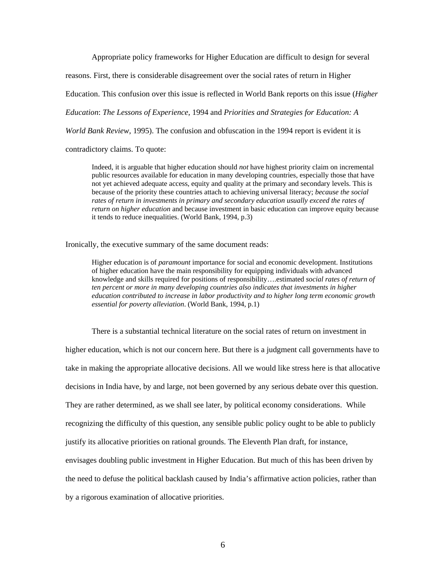Appropriate policy frameworks for Higher Education are difficult to design for several

reasons. First, there is considerable disagreement over the social rates of return in Higher

Education. This confusion over this issue is reflected in World Bank reports on this issue (*Higher* 

*Education*: *The Lessons of Experience*, 1994 and *Priorities and Strategies for Education: A* 

*World Bank Review*, 1995). The confusion and obfuscation in the 1994 report is evident it is

contradictory claims. To quote:

Indeed, it is arguable that higher education should *not* have highest priority claim on incremental public resources available for education in many developing countries, especially those that have not yet achieved adequate access, equity and quality at the primary and secondary levels. This is because of the priority these countries attach to achieving universal literacy; *because the social rates of return in investments in primary and secondary education usually exceed the rates of return on higher education* and because investment in basic education can improve equity because it tends to reduce inequalities. (World Bank, 1994, p.3)

Ironically, the executive summary of the same document reads:

Higher education is of *paramount* importance for social and economic development. Institutions of higher education have the main responsibility for equipping individuals with advanced knowledge and skills required for positions of responsibility….estimated *social rates of return of ten percent or more in many developing countries also indicates that investments in higher education contributed to increase in labor productivity and to higher long term economic growth essential for poverty alleviation*. (World Bank, 1994, p.1)

 There is a substantial technical literature on the social rates of return on investment in higher education, which is not our concern here. But there is a judgment call governments have to take in making the appropriate allocative decisions. All we would like stress here is that allocative decisions in India have, by and large, not been governed by any serious debate over this question. They are rather determined, as we shall see later, by political economy considerations. While recognizing the difficulty of this question, any sensible public policy ought to be able to publicly justify its allocative priorities on rational grounds. The Eleventh Plan draft, for instance, envisages doubling public investment in Higher Education. But much of this has been driven by the need to defuse the political backlash caused by India's affirmative action policies, rather than by a rigorous examination of allocative priorities.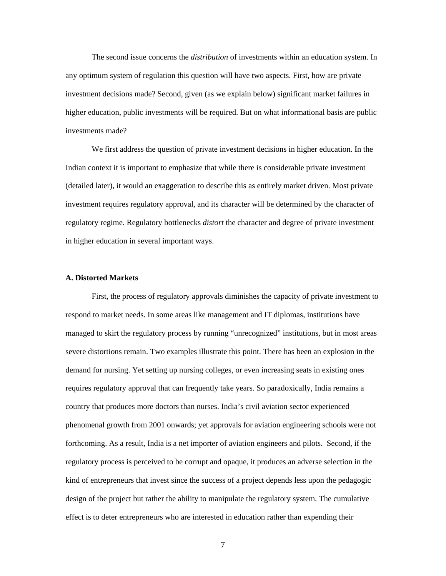The second issue concerns the *distribution* of investments within an education system. In any optimum system of regulation this question will have two aspects. First, how are private investment decisions made? Second, given (as we explain below) significant market failures in higher education, public investments will be required. But on what informational basis are public investments made?

 We first address the question of private investment decisions in higher education. In the Indian context it is important to emphasize that while there is considerable private investment (detailed later), it would an exaggeration to describe this as entirely market driven. Most private investment requires regulatory approval, and its character will be determined by the character of regulatory regime. Regulatory bottlenecks *distort* the character and degree of private investment in higher education in several important ways.

#### **A. Distorted Markets**

 First, the process of regulatory approvals diminishes the capacity of private investment to respond to market needs. In some areas like management and IT diplomas, institutions have managed to skirt the regulatory process by running "unrecognized" institutions, but in most areas severe distortions remain. Two examples illustrate this point. There has been an explosion in the demand for nursing. Yet setting up nursing colleges, or even increasing seats in existing ones requires regulatory approval that can frequently take years. So paradoxically, India remains a country that produces more doctors than nurses. India's civil aviation sector experienced phenomenal growth from 2001 onwards; yet approvals for aviation engineering schools were not forthcoming. As a result, India is a net importer of aviation engineers and pilots. Second, if the regulatory process is perceived to be corrupt and opaque, it produces an adverse selection in the kind of entrepreneurs that invest since the success of a project depends less upon the pedagogic design of the project but rather the ability to manipulate the regulatory system. The cumulative effect is to deter entrepreneurs who are interested in education rather than expending their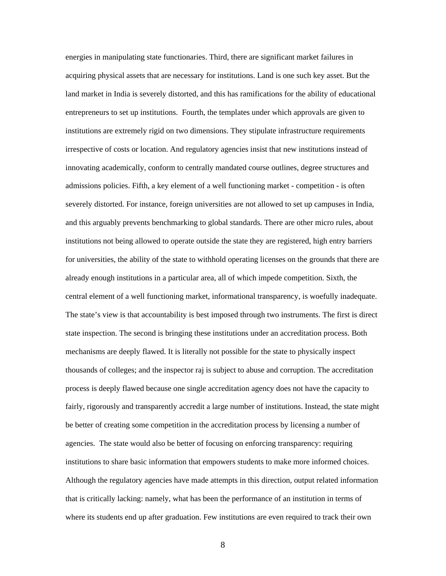energies in manipulating state functionaries. Third, there are significant market failures in acquiring physical assets that are necessary for institutions. Land is one such key asset. But the land market in India is severely distorted, and this has ramifications for the ability of educational entrepreneurs to set up institutions. Fourth, the templates under which approvals are given to institutions are extremely rigid on two dimensions. They stipulate infrastructure requirements irrespective of costs or location. And regulatory agencies insist that new institutions instead of innovating academically, conform to centrally mandated course outlines, degree structures and admissions policies. Fifth, a key element of a well functioning market - competition - is often severely distorted. For instance, foreign universities are not allowed to set up campuses in India, and this arguably prevents benchmarking to global standards. There are other micro rules, about institutions not being allowed to operate outside the state they are registered, high entry barriers for universities, the ability of the state to withhold operating licenses on the grounds that there are already enough institutions in a particular area, all of which impede competition. Sixth, the central element of a well functioning market, informational transparency, is woefully inadequate. The state's view is that accountability is best imposed through two instruments. The first is direct state inspection. The second is bringing these institutions under an accreditation process. Both mechanisms are deeply flawed. It is literally not possible for the state to physically inspect thousands of colleges; and the inspector raj is subject to abuse and corruption. The accreditation process is deeply flawed because one single accreditation agency does not have the capacity to fairly, rigorously and transparently accredit a large number of institutions. Instead, the state might be better of creating some competition in the accreditation process by licensing a number of agencies. The state would also be better of focusing on enforcing transparency: requiring institutions to share basic information that empowers students to make more informed choices. Although the regulatory agencies have made attempts in this direction, output related information that is critically lacking: namely, what has been the performance of an institution in terms of where its students end up after graduation. Few institutions are even required to track their own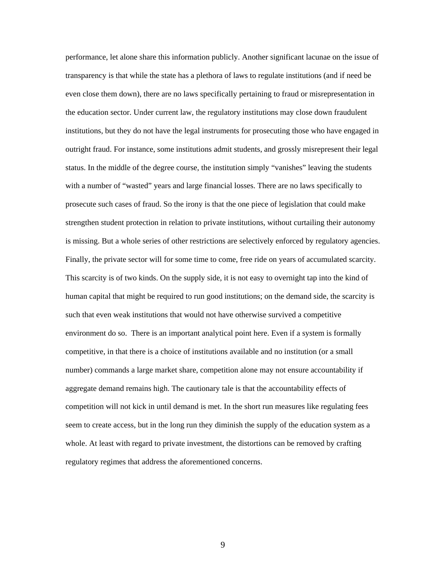performance, let alone share this information publicly. Another significant lacunae on the issue of transparency is that while the state has a plethora of laws to regulate institutions (and if need be even close them down), there are no laws specifically pertaining to fraud or misrepresentation in the education sector. Under current law, the regulatory institutions may close down fraudulent institutions, but they do not have the legal instruments for prosecuting those who have engaged in outright fraud. For instance, some institutions admit students, and grossly misrepresent their legal status. In the middle of the degree course, the institution simply "vanishes" leaving the students with a number of "wasted" years and large financial losses. There are no laws specifically to prosecute such cases of fraud. So the irony is that the one piece of legislation that could make strengthen student protection in relation to private institutions, without curtailing their autonomy is missing. But a whole series of other restrictions are selectively enforced by regulatory agencies. Finally, the private sector will for some time to come, free ride on years of accumulated scarcity. This scarcity is of two kinds. On the supply side, it is not easy to overnight tap into the kind of human capital that might be required to run good institutions; on the demand side, the scarcity is such that even weak institutions that would not have otherwise survived a competitive environment do so. There is an important analytical point here. Even if a system is formally competitive, in that there is a choice of institutions available and no institution (or a small number) commands a large market share, competition alone may not ensure accountability if aggregate demand remains high. The cautionary tale is that the accountability effects of competition will not kick in until demand is met. In the short run measures like regulating fees seem to create access, but in the long run they diminish the supply of the education system as a whole. At least with regard to private investment, the distortions can be removed by crafting regulatory regimes that address the aforementioned concerns.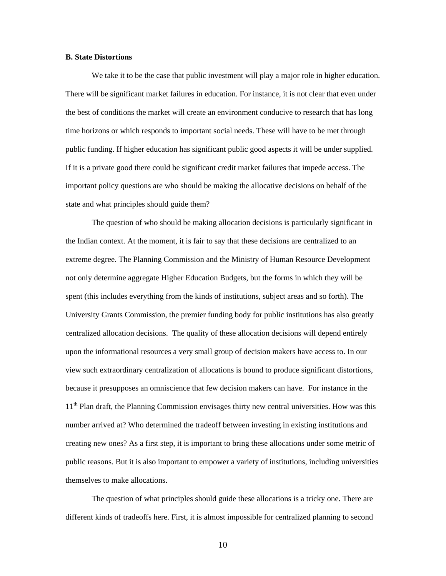#### **B. State Distortions**

We take it to be the case that public investment will play a major role in higher education. There will be significant market failures in education. For instance, it is not clear that even under the best of conditions the market will create an environment conducive to research that has long time horizons or which responds to important social needs. These will have to be met through public funding. If higher education has significant public good aspects it will be under supplied. If it is a private good there could be significant credit market failures that impede access. The important policy questions are who should be making the allocative decisions on behalf of the state and what principles should guide them?

 The question of who should be making allocation decisions is particularly significant in the Indian context. At the moment, it is fair to say that these decisions are centralized to an extreme degree. The Planning Commission and the Ministry of Human Resource Development not only determine aggregate Higher Education Budgets, but the forms in which they will be spent (this includes everything from the kinds of institutions, subject areas and so forth). The University Grants Commission, the premier funding body for public institutions has also greatly centralized allocation decisions. The quality of these allocation decisions will depend entirely upon the informational resources a very small group of decision makers have access to. In our view such extraordinary centralization of allocations is bound to produce significant distortions, because it presupposes an omniscience that few decision makers can have. For instance in the 11<sup>th</sup> Plan draft, the Planning Commission envisages thirty new central universities. How was this number arrived at? Who determined the tradeoff between investing in existing institutions and creating new ones? As a first step, it is important to bring these allocations under some metric of public reasons. But it is also important to empower a variety of institutions, including universities themselves to make allocations.

 The question of what principles should guide these allocations is a tricky one. There are different kinds of tradeoffs here. First, it is almost impossible for centralized planning to second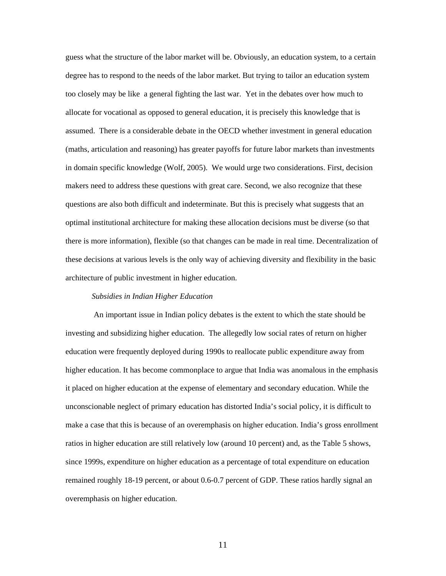guess what the structure of the labor market will be. Obviously, an education system, to a certain degree has to respond to the needs of the labor market. But trying to tailor an education system too closely may be like a general fighting the last war. Yet in the debates over how much to allocate for vocational as opposed to general education, it is precisely this knowledge that is assumed. There is a considerable debate in the OECD whether investment in general education (maths, articulation and reasoning) has greater payoffs for future labor markets than investments in domain specific knowledge (Wolf, 2005). We would urge two considerations. First, decision makers need to address these questions with great care. Second, we also recognize that these questions are also both difficult and indeterminate. But this is precisely what suggests that an optimal institutional architecture for making these allocation decisions must be diverse (so that there is more information), flexible (so that changes can be made in real time. Decentralization of these decisions at various levels is the only way of achieving diversity and flexibility in the basic architecture of public investment in higher education.

### *Subsidies in Indian Higher Education*

 An important issue in Indian policy debates is the extent to which the state should be investing and subsidizing higher education. The allegedly low social rates of return on higher education were frequently deployed during 1990s to reallocate public expenditure away from higher education. It has become commonplace to argue that India was anomalous in the emphasis it placed on higher education at the expense of elementary and secondary education. While the unconscionable neglect of primary education has distorted India's social policy, it is difficult to make a case that this is because of an overemphasis on higher education. India's gross enrollment ratios in higher education are still relatively low (around 10 percent) and, as the Table 5 shows, since 1999s, expenditure on higher education as a percentage of total expenditure on education remained roughly 18-19 percent, or about 0.6-0.7 percent of GDP. These ratios hardly signal an overemphasis on higher education.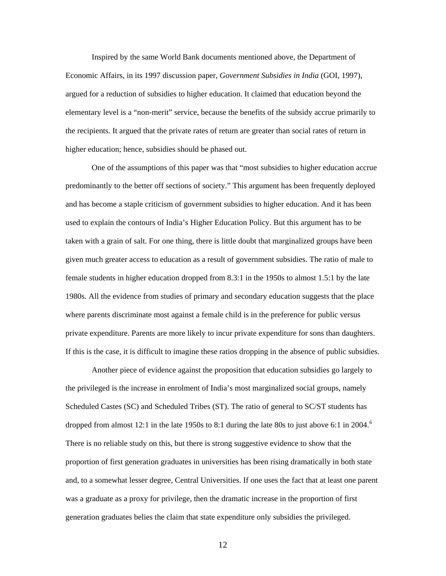Inspired by the same World Bank documents mentioned above, the Department of Economic Affairs, in its 1997 discussion paper, *Government Subsidies in India* (GOI, 1997), argued for a reduction of subsidies to higher education. It claimed that education beyond the elementary level is a "non-merit" service, because the benefits of the subsidy accrue primarily to the recipients. It argued that the private rates of return are greater than social rates of return in higher education; hence, subsidies should be phased out.

 One of the assumptions of this paper was that "most subsidies to higher education accrue predominantly to the better off sections of society." This argument has been frequently deployed and has become a staple criticism of government subsidies to higher education. And it has been used to explain the contours of India's Higher Education Policy. But this argument has to be taken with a grain of salt. For one thing, there is little doubt that marginalized groups have been given much greater access to education as a result of government subsidies. The ratio of male to female students in higher education dropped from 8.3:1 in the 1950s to almost 1.5:1 by the late 1980s. All the evidence from studies of primary and secondary education suggests that the place where parents discriminate most against a female child is in the preference for public versus private expenditure. Parents are more likely to incur private expenditure for sons than daughters. If this is the case, it is difficult to imagine these ratios dropping in the absence of public subsidies.

 Another piece of evidence against the proposition that education subsidies go largely to the privileged is the increase in enrolment of India's most marginalized social groups, namely Scheduled Castes (SC) and Scheduled Tribes (ST). The ratio of general to SC/ST students has dropped from almost 12:1 in the late 1950s to 8:1 during the late 80s to just above [6](#page-56-1):1 in 2004.<sup>6</sup> There is no reliable study on this, but there is strong suggestive evidence to show that the proportion of first generation graduates in universities has been rising dramatically in both state and, to a somewhat lesser degree, Central Universities. If one uses the fact that at least one parent was a graduate as a proxy for privilege, then the dramatic increase in the proportion of first generation graduates belies the claim that state expenditure only subsidies the privileged.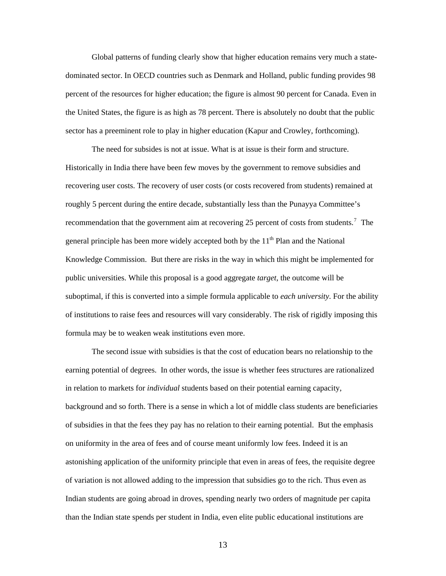Global patterns of funding clearly show that higher education remains very much a statedominated sector. In OECD countries such as Denmark and Holland, public funding provides 98 percent of the resources for higher education; the figure is almost 90 percent for Canada. Even in the United States, the figure is as high as 78 percent. There is absolutely no doubt that the public sector has a preeminent role to play in higher education (Kapur and Crowley, forthcoming).

The need for subsides is not at issue. What is at issue is their form and structure. Historically in India there have been few moves by the government to remove subsidies and recovering user costs. The recovery of user costs (or costs recovered from students) remained at roughly 5 percent during the entire decade, substantially less than the Punayya Committee's recommendation that the government aim at recovering 25 percent of costs from students.<sup>[7](#page-56-1)</sup> The general principle has been more widely accepted both by the  $11<sup>th</sup>$  Plan and the National Knowledge Commission. But there are risks in the way in which this might be implemented for public universities. While this proposal is a good aggregate *target*, the outcome will be suboptimal, if this is converted into a simple formula applicable to *each university*. For the ability of institutions to raise fees and resources will vary considerably. The risk of rigidly imposing this formula may be to weaken weak institutions even more.

The second issue with subsidies is that the cost of education bears no relationship to the earning potential of degrees. In other words, the issue is whether fees structures are rationalized in relation to markets for *individual* students based on their potential earning capacity, background and so forth. There is a sense in which a lot of middle class students are beneficiaries of subsidies in that the fees they pay has no relation to their earning potential. But the emphasis on uniformity in the area of fees and of course meant uniformly low fees. Indeed it is an astonishing application of the uniformity principle that even in areas of fees, the requisite degree of variation is not allowed adding to the impression that subsidies go to the rich. Thus even as Indian students are going abroad in droves, spending nearly two orders of magnitude per capita than the Indian state spends per student in India, even elite public educational institutions are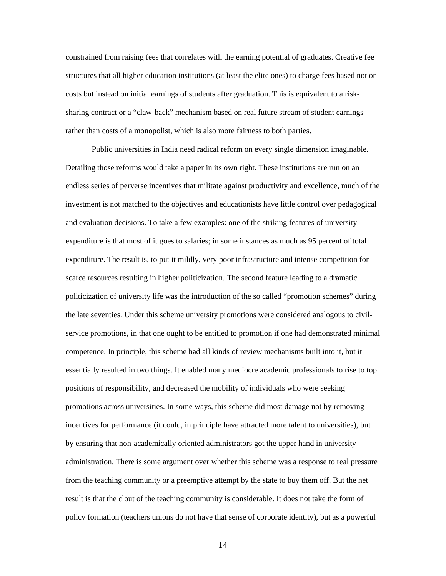constrained from raising fees that correlates with the earning potential of graduates. Creative fee structures that all higher education institutions (at least the elite ones) to charge fees based not on costs but instead on initial earnings of students after graduation. This is equivalent to a risksharing contract or a "claw-back" mechanism based on real future stream of student earnings rather than costs of a monopolist, which is also more fairness to both parties.

Public universities in India need radical reform on every single dimension imaginable. Detailing those reforms would take a paper in its own right. These institutions are run on an endless series of perverse incentives that militate against productivity and excellence, much of the investment is not matched to the objectives and educationists have little control over pedagogical and evaluation decisions. To take a few examples: one of the striking features of university expenditure is that most of it goes to salaries; in some instances as much as 95 percent of total expenditure. The result is, to put it mildly, very poor infrastructure and intense competition for scarce resources resulting in higher politicization. The second feature leading to a dramatic politicization of university life was the introduction of the so called "promotion schemes" during the late seventies. Under this scheme university promotions were considered analogous to civilservice promotions, in that one ought to be entitled to promotion if one had demonstrated minimal competence. In principle, this scheme had all kinds of review mechanisms built into it, but it essentially resulted in two things. It enabled many mediocre academic professionals to rise to top positions of responsibility, and decreased the mobility of individuals who were seeking promotions across universities. In some ways, this scheme did most damage not by removing incentives for performance (it could, in principle have attracted more talent to universities), but by ensuring that non-academically oriented administrators got the upper hand in university administration. There is some argument over whether this scheme was a response to real pressure from the teaching community or a preemptive attempt by the state to buy them off. But the net result is that the clout of the teaching community is considerable. It does not take the form of policy formation (teachers unions do not have that sense of corporate identity), but as a powerful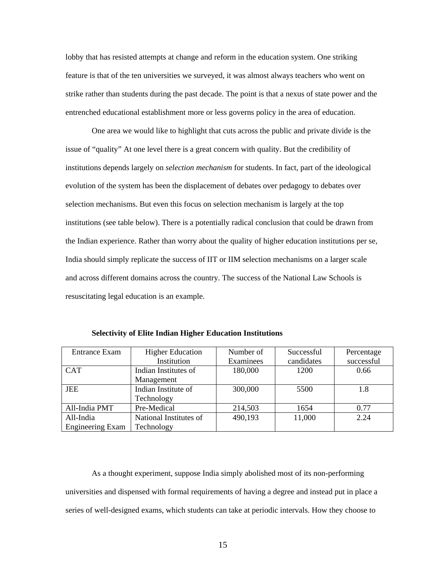lobby that has resisted attempts at change and reform in the education system. One striking feature is that of the ten universities we surveyed, it was almost always teachers who went on strike rather than students during the past decade. The point is that a nexus of state power and the entrenched educational establishment more or less governs policy in the area of education.

One area we would like to highlight that cuts across the public and private divide is the issue of "quality" At one level there is a great concern with quality. But the credibility of institutions depends largely on *selection mechanism* for students. In fact, part of the ideological evolution of the system has been the displacement of debates over pedagogy to debates over selection mechanisms. But even this focus on selection mechanism is largely at the top institutions (see table below). There is a potentially radical conclusion that could be drawn from the Indian experience. Rather than worry about the quality of higher education institutions per se, India should simply replicate the success of IIT or IIM selection mechanisms on a larger scale and across different domains across the country. The success of the National Law Schools is resuscitating legal education is an example.

| Entrance Exam           | <b>Higher Education</b> | Number of | Successful | Percentage |
|-------------------------|-------------------------|-----------|------------|------------|
|                         | Institution             | Examinees | candidates | successful |
| <b>CAT</b>              | Indian Institutes of    | 180,000   | 1200       | 0.66       |
|                         | Management              |           |            |            |
| <b>JEE</b>              | Indian Institute of     | 300,000   | 5500       | 1.8        |
|                         | Technology              |           |            |            |
| All-India PMT           | Pre-Medical             | 214,503   | 1654       | 0.77       |
| All-India               | National Institutes of  | 490,193   | 11,000     | 2.24       |
| <b>Engineering Exam</b> | Technology              |           |            |            |

**Selectivity of Elite Indian Higher Education Institutions** 

As a thought experiment, suppose India simply abolished most of its non-performing universities and dispensed with formal requirements of having a degree and instead put in place a series of well-designed exams, which students can take at periodic intervals. How they choose to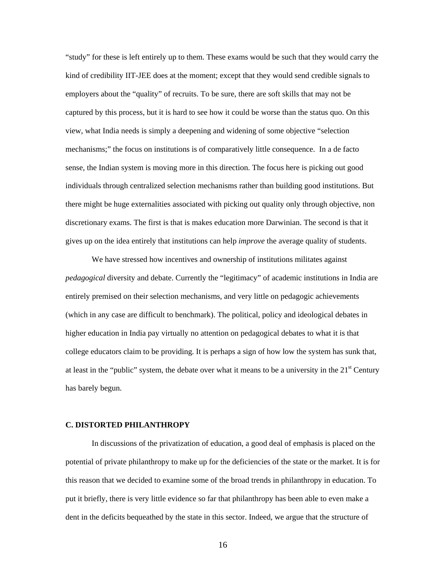"study" for these is left entirely up to them. These exams would be such that they would carry the kind of credibility IIT-JEE does at the moment; except that they would send credible signals to employers about the "quality" of recruits. To be sure, there are soft skills that may not be captured by this process, but it is hard to see how it could be worse than the status quo. On this view, what India needs is simply a deepening and widening of some objective "selection mechanisms;" the focus on institutions is of comparatively little consequence. In a de facto sense, the Indian system is moving more in this direction. The focus here is picking out good individuals through centralized selection mechanisms rather than building good institutions. But there might be huge externalities associated with picking out quality only through objective, non discretionary exams. The first is that is makes education more Darwinian. The second is that it gives up on the idea entirely that institutions can help *improve* the average quality of students.

We have stressed how incentives and ownership of institutions militates against *pedagogical* diversity and debate. Currently the "legitimacy" of academic institutions in India are entirely premised on their selection mechanisms, and very little on pedagogic achievements (which in any case are difficult to benchmark). The political, policy and ideological debates in higher education in India pay virtually no attention on pedagogical debates to what it is that college educators claim to be providing*.* It is perhaps a sign of how low the system has sunk that, at least in the "public" system, the debate over what it means to be a university in the  $21<sup>st</sup>$  Century has barely begun.

### **C. DISTORTED PHILANTHROPY**

In discussions of the privatization of education, a good deal of emphasis is placed on the potential of private philanthropy to make up for the deficiencies of the state or the market. It is for this reason that we decided to examine some of the broad trends in philanthropy in education. To put it briefly, there is very little evidence so far that philanthropy has been able to even make a dent in the deficits bequeathed by the state in this sector. Indeed, we argue that the structure of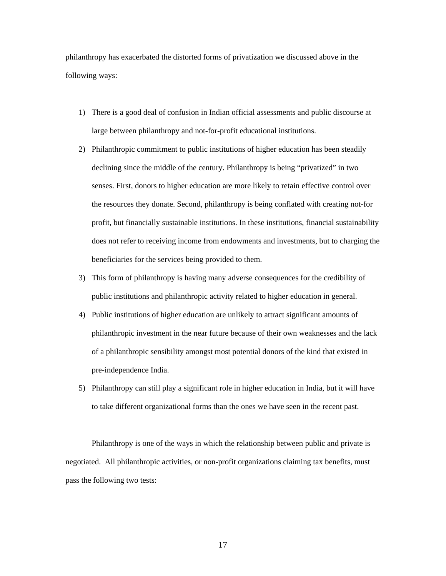philanthropy has exacerbated the distorted forms of privatization we discussed above in the following ways:

- 1) There is a good deal of confusion in Indian official assessments and public discourse at large between philanthropy and not-for-profit educational institutions.
- 2) Philanthropic commitment to public institutions of higher education has been steadily declining since the middle of the century. Philanthropy is being "privatized" in two senses. First, donors to higher education are more likely to retain effective control over the resources they donate. Second, philanthropy is being conflated with creating not-for profit, but financially sustainable institutions. In these institutions, financial sustainability does not refer to receiving income from endowments and investments, but to charging the beneficiaries for the services being provided to them.
- 3) This form of philanthropy is having many adverse consequences for the credibility of public institutions and philanthropic activity related to higher education in general.
- 4) Public institutions of higher education are unlikely to attract significant amounts of philanthropic investment in the near future because of their own weaknesses and the lack of a philanthropic sensibility amongst most potential donors of the kind that existed in pre-independence India.
- 5) Philanthropy can still play a significant role in higher education in India, but it will have to take different organizational forms than the ones we have seen in the recent past.

Philanthropy is one of the ways in which the relationship between public and private is negotiated. All philanthropic activities, or non-profit organizations claiming tax benefits, must pass the following two tests: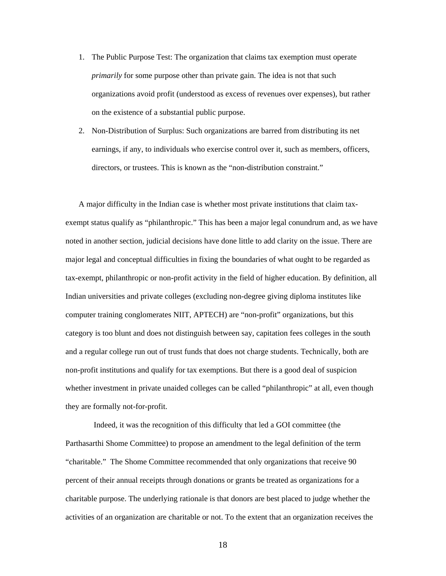- 1. The Public Purpose Test: The organization that claims tax exemption must operate *primarily* for some purpose other than private gain. The idea is not that such organizations avoid profit (understood as excess of revenues over expenses), but rather on the existence of a substantial public purpose.
- 2. Non-Distribution of Surplus: Such organizations are barred from distributing its net earnings, if any, to individuals who exercise control over it, such as members, officers, directors, or trustees. This is known as the "non-distribution constraint."

A major difficulty in the Indian case is whether most private institutions that claim taxexempt status qualify as "philanthropic." This has been a major legal conundrum and, as we have noted in another section, judicial decisions have done little to add clarity on the issue. There are major legal and conceptual difficulties in fixing the boundaries of what ought to be regarded as tax-exempt, philanthropic or non-profit activity in the field of higher education. By definition, all Indian universities and private colleges (excluding non-degree giving diploma institutes like computer training conglomerates NIIT, APTECH) are "non-profit" organizations, but this category is too blunt and does not distinguish between say, capitation fees colleges in the south and a regular college run out of trust funds that does not charge students. Technically, both are non-profit institutions and qualify for tax exemptions. But there is a good deal of suspicion whether investment in private unaided colleges can be called "philanthropic" at all, even though they are formally not-for-profit.

 Indeed, it was the recognition of this difficulty that led a GOI committee (the Parthasarthi Shome Committee) to propose an amendment to the legal definition of the term "charitable." The Shome Committee recommended that only organizations that receive 90 percent of their annual receipts through donations or grants be treated as organizations for a charitable purpose. The underlying rationale is that donors are best placed to judge whether the activities of an organization are charitable or not. To the extent that an organization receives the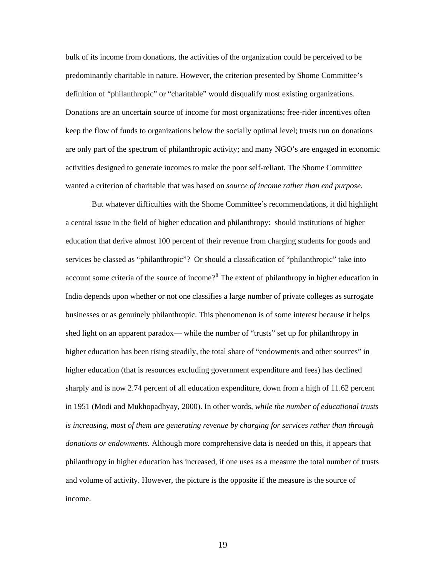bulk of its income from donations, the activities of the organization could be perceived to be predominantly charitable in nature. However, the criterion presented by Shome Committee's definition of "philanthropic" or "charitable" would disqualify most existing organizations. Donations are an uncertain source of income for most organizations; free-rider incentives often keep the flow of funds to organizations below the socially optimal level; trusts run on donations are only part of the spectrum of philanthropic activity; and many NGO's are engaged in economic activities designed to generate incomes to make the poor self-reliant. The Shome Committee wanted a criterion of charitable that was based on *source of income rather than end purpose*.

 But whatever difficulties with the Shome Committee's recommendations, it did highlight a central issue in the field of higher education and philanthropy: should institutions of higher education that derive almost 100 percent of their revenue from charging students for goods and services be classed as "philanthropic"? Or should a classification of "philanthropic" take into account some criteria of the source of income?<sup>[8](#page-56-1)</sup> The extent of philanthropy in higher education in India depends upon whether or not one classifies a large number of private colleges as surrogate businesses or as genuinely philanthropic. This phenomenon is of some interest because it helps shed light on an apparent paradox— while the number of "trusts" set up for philanthropy in higher education has been rising steadily, the total share of "endowments and other sources" in higher education (that is resources excluding government expenditure and fees) has declined sharply and is now 2.74 percent of all education expenditure, down from a high of 11.62 percent in 1951 (Modi and Mukhopadhyay, 2000). In other words, *while the number of educational trusts is increasing, most of them are generating revenue by charging for services rather than through donations or endowments.* Although more comprehensive data is needed on this, it appears that philanthropy in higher education has increased, if one uses as a measure the total number of trusts and volume of activity. However, the picture is the opposite if the measure is the source of income.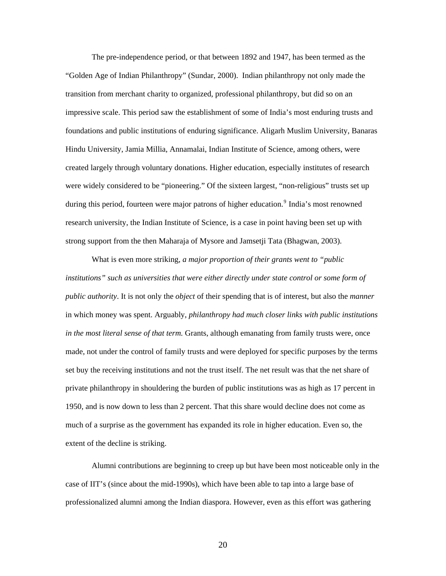The pre-independence period, or that between 1892 and 1947, has been termed as the "Golden Age of Indian Philanthropy" (Sundar, 2000). Indian philanthropy not only made the transition from merchant charity to organized, professional philanthropy, but did so on an impressive scale. This period saw the establishment of some of India's most enduring trusts and foundations and public institutions of enduring significance. Aligarh Muslim University, Banaras Hindu University, Jamia Millia, Annamalai, Indian Institute of Science, among others, were created largely through voluntary donations. Higher education, especially institutes of research were widely considered to be "pioneering." Of the sixteen largest, "non-religious" trusts set up during this period, fourteen were major patrons of higher education.<sup>[9](#page-56-1)</sup> India's most renowned research university, the Indian Institute of Science, is a case in point having been set up with strong support from the then Maharaja of Mysore and Jamsetji Tata (Bhagwan, 2003).

 What is even more striking, *a major proportion of their grants went to "public*  institutions" such as universities that were either directly under state control or some form of *public authority*. It is not only the *object* of their spending that is of interest, but also the *manner*  in which money was spent. Arguably, *philanthropy had much closer links with public institutions in the most literal sense of that term.* Grants, although emanating from family trusts were, once made, not under the control of family trusts and were deployed for specific purposes by the terms set buy the receiving institutions and not the trust itself. The net result was that the net share of private philanthropy in shouldering the burden of public institutions was as high as 17 percent in 1950, and is now down to less than 2 percent. That this share would decline does not come as much of a surprise as the government has expanded its role in higher education. Even so, the extent of the decline is striking.

 Alumni contributions are beginning to creep up but have been most noticeable only in the case of IIT's (since about the mid-1990s), which have been able to tap into a large base of professionalized alumni among the Indian diaspora. However, even as this effort was gathering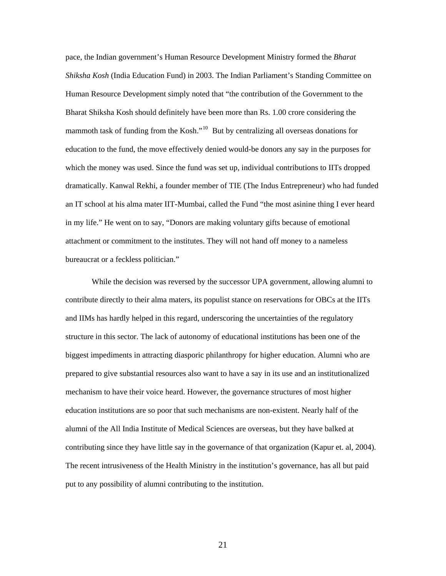pace, the Indian government's Human Resource Development Ministry formed the *Bharat Shiksha Kosh* (India Education Fund) in 2003. The Indian Parliament's Standing Committee on Human Resource Development simply noted that "the contribution of the Government to the Bharat Shiksha Kosh should definitely have been more than Rs. 1.00 crore considering the mammoth task of funding from the Kosh."[10](#page-56-1) But by centralizing all overseas donations for education to the fund, the move effectively denied would-be donors any say in the purposes for which the money was used. Since the fund was set up, individual contributions to IITs dropped dramatically. Kanwal Rekhi, a founder member of TIE (The Indus Entrepreneur) who had funded an IT school at his alma mater IIT-Mumbai, called the Fund "the most asinine thing I ever heard in my life." He went on to say, "Donors are making voluntary gifts because of emotional attachment or commitment to the institutes. They will not hand off money to a nameless bureaucrat or a feckless politician."

While the decision was reversed by the successor UPA government, allowing alumni to contribute directly to their alma maters, its populist stance on reservations for OBCs at the IITs and IIMs has hardly helped in this regard, underscoring the uncertainties of the regulatory structure in this sector. The lack of autonomy of educational institutions has been one of the biggest impediments in attracting diasporic philanthropy for higher education. Alumni who are prepared to give substantial resources also want to have a say in its use and an institutionalized mechanism to have their voice heard. However, the governance structures of most higher education institutions are so poor that such mechanisms are non-existent. Nearly half of the alumni of the All India Institute of Medical Sciences are overseas, but they have balked at contributing since they have little say in the governance of that organization (Kapur et. al, 2004). The recent intrusiveness of the Health Ministry in the institution's governance, has all but paid put to any possibility of alumni contributing to the institution.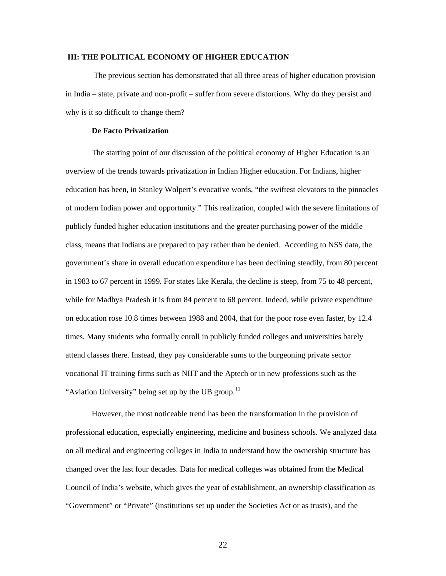### **III: THE POLITICAL ECONOMY OF HIGHER EDUCATION**

 The previous section has demonstrated that all three areas of higher education provision in India – state, private and non-profit – suffer from severe distortions. Why do they persist and why is it so difficult to change them?

#### **De Facto Privatization**

The starting point of our discussion of the political economy of Higher Education is an overview of the trends towards privatization in Indian Higher education. For Indians, higher education has been, in Stanley Wolpert's evocative words, "the swiftest elevators to the pinnacles of modern Indian power and opportunity." This realization, coupled with the severe limitations of publicly funded higher education institutions and the greater purchasing power of the middle class, means that Indians are prepared to pay rather than be denied. According to NSS data, the government's share in overall education expenditure has been declining steadily, from 80 percent in 1983 to 67 percent in 1999. For states like Kerala, the decline is steep, from 75 to 48 percent, while for Madhya Pradesh it is from 84 percent to 68 percent. Indeed, while private expenditure on education rose 10.8 times between 1988 and 2004, that for the poor rose even faster, by 12.4 times. Many students who formally enroll in publicly funded colleges and universities barely attend classes there. Instead, they pay considerable sums to the burgeoning private sector vocational IT training firms such as NIIT and the Aptech or in new professions such as the "Aviation University" being set up by the UB group. $^{11}$  $^{11}$  $^{11}$ 

However, the most noticeable trend has been the transformation in the provision of professional education, especially engineering, medicine and business schools. We analyzed data on all medical and engineering colleges in India to understand how the ownership structure has changed over the last four decades. Data for medical colleges was obtained from the Medical Council of India's website, which gives the year of establishment, an ownership classification as "Government" or "Private" (institutions set up under the Societies Act or as trusts), and the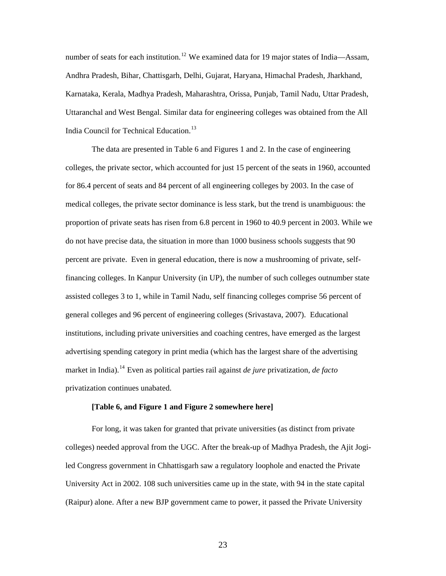number of seats for each institution.<sup>[12](#page-56-1)</sup> We examined data for 19 major states of India—Assam, Andhra Pradesh, Bihar, Chattisgarh, Delhi, Gujarat, Haryana, Himachal Pradesh, Jharkhand, Karnataka, Kerala, Madhya Pradesh, Maharashtra, Orissa, Punjab, Tamil Nadu, Uttar Pradesh, Uttaranchal and West Bengal. Similar data for engineering colleges was obtained from the All India Council for Technical Education.<sup>[13](#page-56-1)</sup>

The data are presented in Table 6 and Figures 1 and 2. In the case of engineering colleges, the private sector, which accounted for just 15 percent of the seats in 1960, accounted for 86.4 percent of seats and 84 percent of all engineering colleges by 2003. In the case of medical colleges, the private sector dominance is less stark, but the trend is unambiguous: the proportion of private seats has risen from 6.8 percent in 1960 to 40.9 percent in 2003. While we do not have precise data, the situation in more than 1000 business schools suggests that 90 percent are private. Even in general education, there is now a mushrooming of private, selffinancing colleges. In Kanpur University (in UP), the number of such colleges outnumber state assisted colleges 3 to 1, while in Tamil Nadu, self financing colleges comprise 56 percent of general colleges and 96 percent of engineering colleges (Srivastava, 2007). Educational institutions, including private universities and coaching centres, have emerged as the largest advertising spending category in print media (which has the largest share of the advertising market in India).[14](#page-56-1) Even as political parties rail against *de jure* privatization, *de facto* privatization continues unabated.

#### **[Table 6, and Figure 1 and Figure 2 somewhere here]**

For long, it was taken for granted that private universities (as distinct from private colleges) needed approval from the UGC. After the break-up of Madhya Pradesh, the Ajit Jogiled Congress government in Chhattisgarh saw a regulatory loophole and enacted the Private University Act in 2002. 108 such universities came up in the state, with 94 in the state capital (Raipur) alone. After a new BJP government came to power, it passed the Private University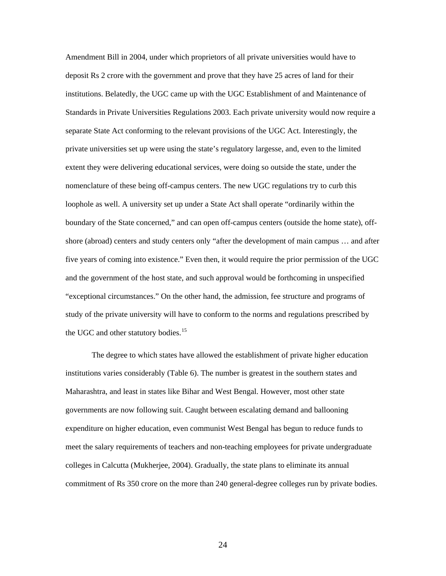Amendment Bill in 2004, under which proprietors of all private universities would have to deposit Rs 2 crore with the government and prove that they have 25 acres of land for their institutions. Belatedly, the UGC came up with the UGC Establishment of and Maintenance of Standards in Private Universities Regulations 2003. Each private university would now require a separate State Act conforming to the relevant provisions of the UGC Act. Interestingly, the private universities set up were using the state's regulatory largesse, and, even to the limited extent they were delivering educational services, were doing so outside the state, under the nomenclature of these being off-campus centers. The new UGC regulations try to curb this loophole as well. A university set up under a State Act shall operate "ordinarily within the boundary of the State concerned," and can open off-campus centers (outside the home state), offshore (abroad) centers and study centers only "after the development of main campus … and after five years of coming into existence." Even then, it would require the prior permission of the UGC and the government of the host state, and such approval would be forthcoming in unspecified "exceptional circumstances." On the other hand, the admission, fee structure and programs of study of the private university will have to conform to the norms and regulations prescribed by the UGC and other statutory bodies.<sup>[15](#page-56-1)</sup>

The degree to which states have allowed the establishment of private higher education institutions varies considerably (Table 6). The number is greatest in the southern states and Maharashtra, and least in states like Bihar and West Bengal. However, most other state governments are now following suit. Caught between escalating demand and ballooning expenditure on higher education, even communist West Bengal has begun to reduce funds to meet the salary requirements of teachers and non-teaching employees for private undergraduate colleges in Calcutta (Mukherjee, 2004). Gradually, the state plans to eliminate its annual commitment of Rs 350 crore on the more than 240 general-degree colleges run by private bodies.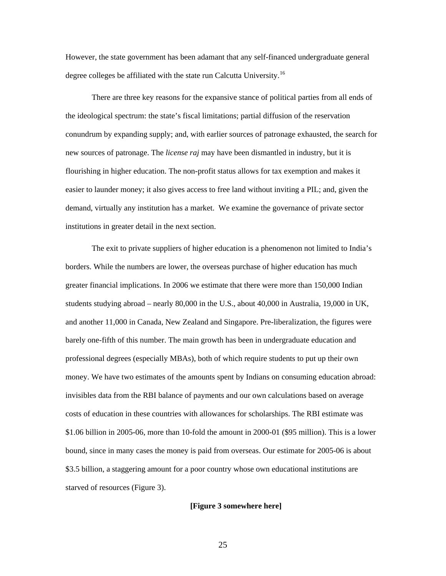However, the state government has been adamant that any self-financed undergraduate general degree colleges be affiliated with the state run Calcutta University.<sup>[16](#page-56-1)</sup>

There are three key reasons for the expansive stance of political parties from all ends of the ideological spectrum: the state's fiscal limitations; partial diffusion of the reservation conundrum by expanding supply; and, with earlier sources of patronage exhausted, the search for new sources of patronage. The *license raj* may have been dismantled in industry, but it is flourishing in higher education. The non-profit status allows for tax exemption and makes it easier to launder money; it also gives access to free land without inviting a PIL; and, given the demand, virtually any institution has a market. We examine the governance of private sector institutions in greater detail in the next section.

The exit to private suppliers of higher education is a phenomenon not limited to India's borders. While the numbers are lower, the overseas purchase of higher education has much greater financial implications. In 2006 we estimate that there were more than 150,000 Indian students studying abroad – nearly 80,000 in the U.S., about 40,000 in Australia, 19,000 in UK, and another 11,000 in Canada, New Zealand and Singapore. Pre-liberalization, the figures were barely one-fifth of this number. The main growth has been in undergraduate education and professional degrees (especially MBAs), both of which require students to put up their own money. We have two estimates of the amounts spent by Indians on consuming education abroad: invisibles data from the RBI balance of payments and our own calculations based on average costs of education in these countries with allowances for scholarships. The RBI estimate was \$1.06 billion in 2005-06, more than 10-fold the amount in 2000-01 (\$95 million). This is a lower bound, since in many cases the money is paid from overseas. Our estimate for 2005-06 is about \$3.5 billion, a staggering amount for a poor country whose own educational institutions are starved of resources (Figure 3).

### **[Figure 3 somewhere here]**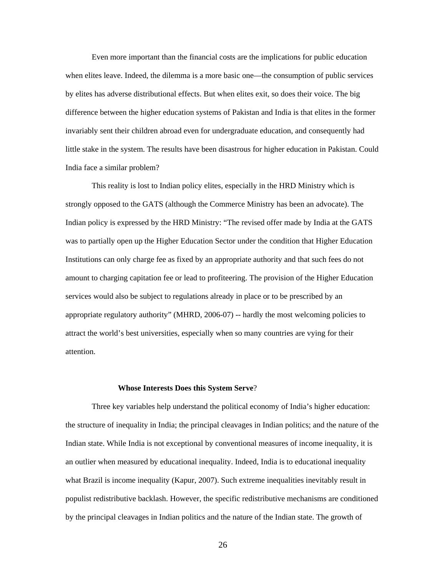Even more important than the financial costs are the implications for public education when elites leave. Indeed, the dilemma is a more basic one—the consumption of public services by elites has adverse distributional effects. But when elites exit, so does their voice. The big difference between the higher education systems of Pakistan and India is that elites in the former invariably sent their children abroad even for undergraduate education, and consequently had little stake in the system. The results have been disastrous for higher education in Pakistan. Could India face a similar problem?

 This reality is lost to Indian policy elites, especially in the HRD Ministry which is strongly opposed to the GATS (although the Commerce Ministry has been an advocate). The Indian policy is expressed by the HRD Ministry: "The revised offer made by India at the GATS was to partially open up the Higher Education Sector under the condition that Higher Education Institutions can only charge fee as fixed by an appropriate authority and that such fees do not amount to charging capitation fee or lead to profiteering. The provision of the Higher Education services would also be subject to regulations already in place or to be prescribed by an appropriate regulatory authority" (MHRD, 2006-07) -- hardly the most welcoming policies to attract the world's best universities, especially when so many countries are vying for their attention.

#### **Whose Interests Does this System Serve**?

Three key variables help understand the political economy of India's higher education: the structure of inequality in India; the principal cleavages in Indian politics; and the nature of the Indian state. While India is not exceptional by conventional measures of income inequality, it is an outlier when measured by educational inequality. Indeed, India is to educational inequality what Brazil is income inequality (Kapur, 2007). Such extreme inequalities inevitably result in populist redistributive backlash. However, the specific redistributive mechanisms are conditioned by the principal cleavages in Indian politics and the nature of the Indian state. The growth of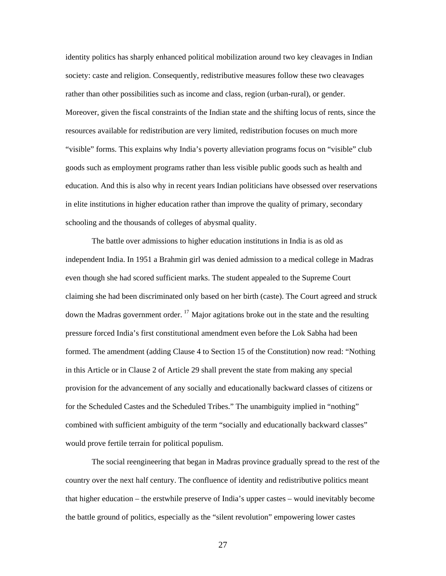identity politics has sharply enhanced political mobilization around two key cleavages in Indian society: caste and religion. Consequently, redistributive measures follow these two cleavages rather than other possibilities such as income and class, region (urban-rural), or gender. Moreover, given the fiscal constraints of the Indian state and the shifting locus of rents, since the resources available for redistribution are very limited, redistribution focuses on much more "visible" forms. This explains why India's poverty alleviation programs focus on "visible" club goods such as employment programs rather than less visible public goods such as health and education. And this is also why in recent years Indian politicians have obsessed over reservations in elite institutions in higher education rather than improve the quality of primary, secondary schooling and the thousands of colleges of abysmal quality.

The battle over admissions to higher education institutions in India is as old as independent India. In 1951 a Brahmin girl was denied admission to a medical college in Madras even though she had scored sufficient marks. The student appealed to the Supreme Court claiming she had been discriminated only based on her birth (caste). The Court agreed and struck down the Madras government order. <sup>[17](#page-56-1)</sup> Major agitations broke out in the state and the resulting pressure forced India's first constitutional amendment even before the Lok Sabha had been formed. The amendment (adding Clause 4 to Section 15 of the Constitution) now read: "Nothing in this Article or in Clause 2 of Article 29 shall prevent the state from making any special provision for the advancement of any socially and educationally backward classes of citizens or for the Scheduled Castes and the Scheduled Tribes." The unambiguity implied in "nothing" combined with sufficient ambiguity of the term "socially and educationally backward classes" would prove fertile terrain for political populism.

The social reengineering that began in Madras province gradually spread to the rest of the country over the next half century. The confluence of identity and redistributive politics meant that higher education – the erstwhile preserve of India's upper castes – would inevitably become the battle ground of politics, especially as the "silent revolution" empowering lower castes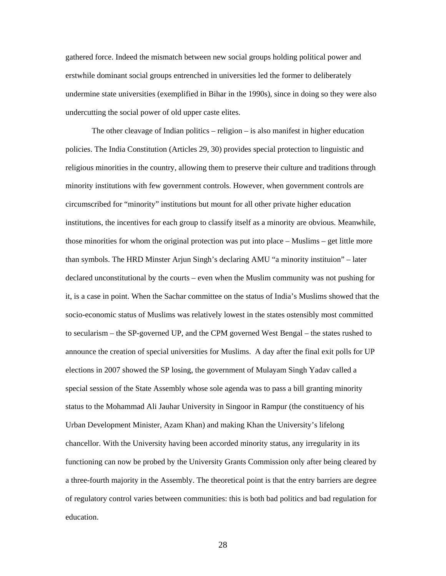gathered force. Indeed the mismatch between new social groups holding political power and erstwhile dominant social groups entrenched in universities led the former to deliberately undermine state universities (exemplified in Bihar in the 1990s), since in doing so they were also undercutting the social power of old upper caste elites.

The other cleavage of Indian politics – religion – is also manifest in higher education policies. The India Constitution (Articles 29, 30) provides special protection to linguistic and religious minorities in the country, allowing them to preserve their culture and traditions through minority institutions with few government controls. However, when government controls are circumscribed for "minority" institutions but mount for all other private higher education institutions, the incentives for each group to classify itself as a minority are obvious. Meanwhile, those minorities for whom the original protection was put into place – Muslims – get little more than symbols. The HRD Minster Arjun Singh's declaring AMU "a minority instituion" – later declared unconstitutional by the courts – even when the Muslim community was not pushing for it, is a case in point. When the Sachar committee on the status of India's Muslims showed that the socio-economic status of Muslims was relatively lowest in the states ostensibly most committed to secularism – the SP-governed UP, and the CPM governed West Bengal – the states rushed to announce the creation of special universities for Muslims. A day after the final exit polls for UP elections in 2007 showed the SP losing, the government of Mulayam Singh Yadav called a special session of the State Assembly whose sole agenda was to pass a bill granting minority status to the Mohammad Ali Jauhar University in Singoor in Rampur (the constituency of his Urban Development Minister, Azam Khan) and making Khan the University's lifelong chancellor. With the University having been accorded minority status, any irregularity in its functioning can now be probed by the University Grants Commission only after being cleared by a three-fourth majority in the Assembly. The theoretical point is that the entry barriers are degree of regulatory control varies between communities: this is both bad politics and bad regulation for education.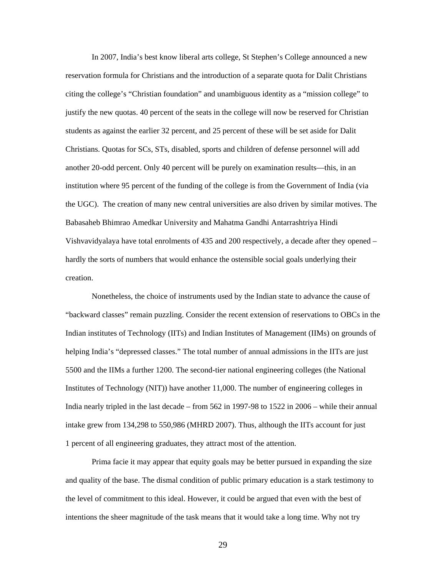In 2007, India's best know liberal arts college, St Stephen's College announced a new reservation formula for Christians and the introduction of a separate quota for Dalit Christians citing the college's "Christian foundation" and unambiguous identity as a "mission college" to justify the new quotas. 40 percent of the seats in the college will now be reserved for Christian students as against the earlier 32 percent, and 25 percent of these will be set aside for Dalit Christians. Quotas for SCs, STs, disabled, sports and children of defense personnel will add another 20-odd percent. Only 40 percent will be purely on examination results—this, in an institution where 95 percent of the funding of the college is from the Government of India (via the UGC). The creation of many new central universities are also driven by similar motives. The Babasaheb Bhimrao Amedkar University and Mahatma Gandhi Antarrashtriya Hindi Vishvavidyalaya have total enrolments of 435 and 200 respectively, a decade after they opened – hardly the sorts of numbers that would enhance the ostensible social goals underlying their creation.

Nonetheless, the choice of instruments used by the Indian state to advance the cause of "backward classes" remain puzzling. Consider the recent extension of reservations to OBCs in the Indian institutes of Technology (IITs) and Indian Institutes of Management (IIMs) on grounds of helping India's "depressed classes." The total number of annual admissions in the IITs are just 5500 and the IIMs a further 1200. The second-tier national engineering colleges (the National Institutes of Technology (NIT)) have another 11,000. The number of engineering colleges in India nearly tripled in the last decade – from 562 in 1997-98 to 1522 in 2006 – while their annual intake grew from 134,298 to 550,986 (MHRD 2007). Thus, although the IITs account for just 1 percent of all engineering graduates, they attract most of the attention.

Prima facie it may appear that equity goals may be better pursued in expanding the size and quality of the base. The dismal condition of public primary education is a stark testimony to the level of commitment to this ideal. However, it could be argued that even with the best of intentions the sheer magnitude of the task means that it would take a long time. Why not try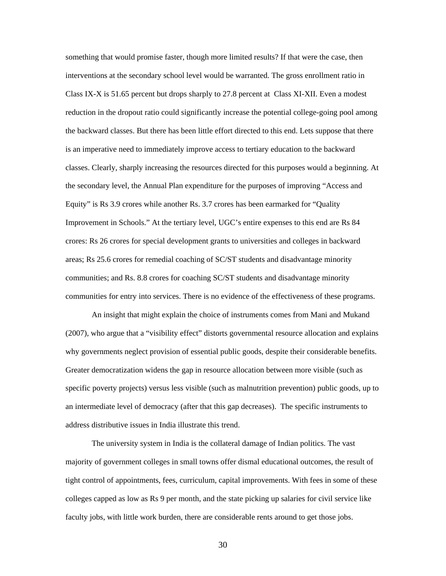something that would promise faster, though more limited results? If that were the case, then interventions at the secondary school level would be warranted. The gross enrollment ratio in Class IX-X is 51.65 percent but drops sharply to 27.8 percent at Class XI-XII. Even a modest reduction in the dropout ratio could significantly increase the potential college-going pool among the backward classes. But there has been little effort directed to this end. Lets suppose that there is an imperative need to immediately improve access to tertiary education to the backward classes. Clearly, sharply increasing the resources directed for this purposes would a beginning. At the secondary level, the Annual Plan expenditure for the purposes of improving "Access and Equity" is Rs 3.9 crores while another Rs. 3.7 crores has been earmarked for "Quality Improvement in Schools." At the tertiary level, UGC's entire expenses to this end are Rs 84 crores: Rs 26 crores for special development grants to universities and colleges in backward areas; Rs 25.6 crores for remedial coaching of SC/ST students and disadvantage minority communities; and Rs. 8.8 crores for coaching SC/ST students and disadvantage minority communities for entry into services. There is no evidence of the effectiveness of these programs.

An insight that might explain the choice of instruments comes from Mani and Mukand (2007), who argue that a "visibility effect" distorts governmental resource allocation and explains why governments neglect provision of essential public goods, despite their considerable benefits. Greater democratization widens the gap in resource allocation between more visible (such as specific poverty projects) versus less visible (such as malnutrition prevention) public goods, up to an intermediate level of democracy (after that this gap decreases). The specific instruments to address distributive issues in India illustrate this trend.

The university system in India is the collateral damage of Indian politics. The vast majority of government colleges in small towns offer dismal educational outcomes, the result of tight control of appointments, fees, curriculum, capital improvements. With fees in some of these colleges capped as low as Rs 9 per month, and the state picking up salaries for civil service like faculty jobs, with little work burden, there are considerable rents around to get those jobs.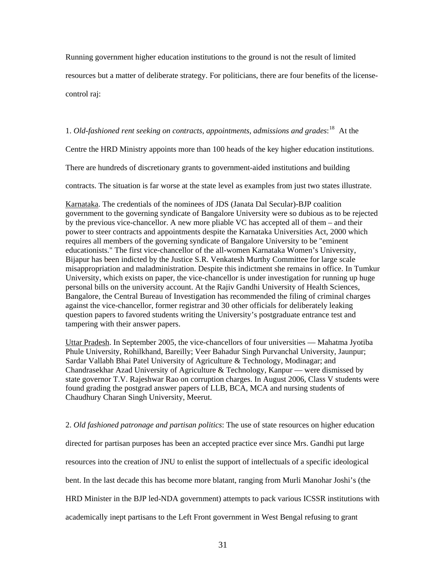Running government higher education institutions to the ground is not the result of limited resources but a matter of deliberate strategy. For politicians, there are four benefits of the license-

control raj:

# 1. *Old-fashioned rent seeking on contracts, appointments, admissions and grades*: [18](#page-56-1) At the

Centre the HRD Ministry appoints more than 100 heads of the key higher education institutions.

There are hundreds of discretionary grants to government-aided institutions and building

contracts. The situation is far worse at the state level as examples from just two states illustrate.

Karnataka. The credentials of the nominees of JDS (Janata Dal Secular)-BJP coalition government to the governing syndicate of Bangalore University were so dubious as to be rejected by the previous vice-chancellor. A new more pliable VC has accepted all of them – and their power to steer contracts and appointments despite the Karnataka Universities Act, 2000 which requires all members of the governing syndicate of Bangalore University to be "eminent educationists." The first vice-chancellor of the all-women Karnataka Women's University, Bijapur has been indicted by the Justice S.R. Venkatesh Murthy Committee for large scale misappropriation and maladministration. Despite this indictment she remains in office. In Tumkur University, which exists on paper, the vice-chancellor is under investigation for running up huge personal bills on the university account. At the Rajiv Gandhi University of Health Sciences, Bangalore, the Central Bureau of Investigation has recommended the filing of criminal charges against the vice-chancellor, former registrar and 30 other officials for deliberately leaking question papers to favored students writing the University's postgraduate entrance test and tampering with their answer papers.

Uttar Pradesh. In September 2005, the vice-chancellors of four universities — Mahatma Jyotiba Phule University, Rohilkhand, Bareilly; Veer Bahadur Singh Purvanchal University, Jaunpur; Sardar Vallabh Bhai Patel University of Agriculture & Technology, Modinagar; and Chandrasekhar Azad University of Agriculture & Technology, Kanpur — were dismissed by state governor T.V. Rajeshwar Rao on corruption charges. In August 2006, Class V students were found grading the postgrad answer papers of LLB, BCA, MCA and nursing students of Chaudhury Charan Singh University, Meerut.

## 2. *Old fashioned patronage and partisan politics*: The use of state resources on higher education

directed for partisan purposes has been an accepted practice ever since Mrs. Gandhi put large

resources into the creation of JNU to enlist the support of intellectuals of a specific ideological

bent. In the last decade this has become more blatant, ranging from Murli Manohar Joshi's (the

HRD Minister in the BJP led-NDA government) attempts to pack various ICSSR institutions with

academically inept partisans to the Left Front government in West Bengal refusing to grant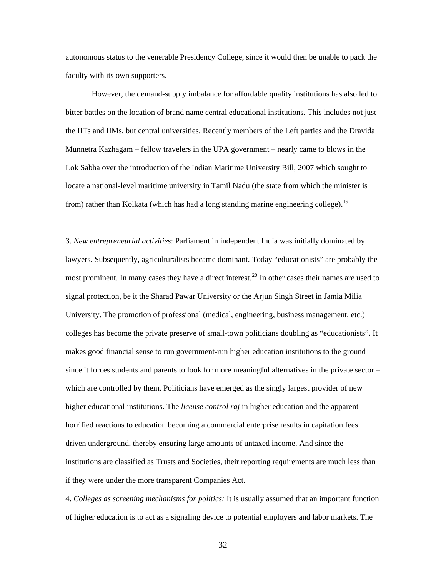autonomous status to the venerable Presidency College, since it would then be unable to pack the faculty with its own supporters.

However, the demand-supply imbalance for affordable quality institutions has also led to bitter battles on the location of brand name central educational institutions. This includes not just the IITs and IIMs, but central universities. Recently members of the Left parties and the Dravida Munnetra Kazhagam – fellow travelers in the UPA government – nearly came to blows in the Lok Sabha over the introduction of the Indian Maritime University Bill, 2007 which sought to locate a national-level maritime university in Tamil Nadu (the state from which the minister is from) rather than Kolkata (which has had a long standing marine engineering college).<sup>[19](#page-56-1)</sup>

3. *New entrepreneurial activities*: Parliament in independent India was initially dominated by lawyers. Subsequently, agriculturalists became dominant. Today "educationists" are probably the most prominent. In many cases they have a direct interest.<sup>[20](#page-56-1)</sup> In other cases their names are used to signal protection, be it the Sharad Pawar University or the Arjun Singh Street in Jamia Milia University. The promotion of professional (medical, engineering, business management, etc.) colleges has become the private preserve of small-town politicians doubling as "educationists". It makes good financial sense to run government-run higher education institutions to the ground since it forces students and parents to look for more meaningful alternatives in the private sector – which are controlled by them. Politicians have emerged as the singly largest provider of new higher educational institutions. The *license control raj* in higher education and the apparent horrified reactions to education becoming a commercial enterprise results in capitation fees driven underground, thereby ensuring large amounts of untaxed income. And since the institutions are classified as Trusts and Societies, their reporting requirements are much less than if they were under the more transparent Companies Act.

4. *Colleges as screening mechanisms for politics:* It is usually assumed that an important function of higher education is to act as a signaling device to potential employers and labor markets. The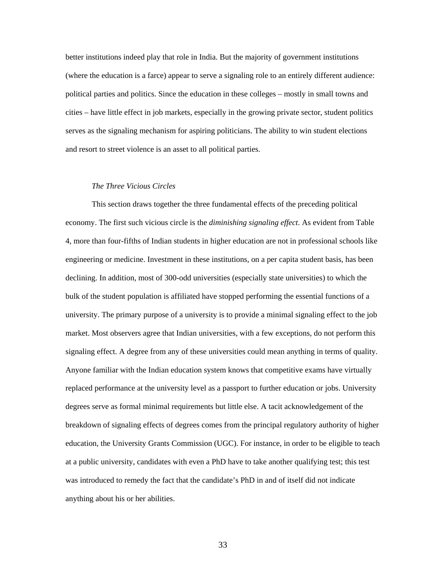better institutions indeed play that role in India. But the majority of government institutions (where the education is a farce) appear to serve a signaling role to an entirely different audience: political parties and politics. Since the education in these colleges – mostly in small towns and cities – have little effect in job markets, especially in the growing private sector, student politics serves as the signaling mechanism for aspiring politicians. The ability to win student elections and resort to street violence is an asset to all political parties.

#### *The Three Vicious Circles*

This section draws together the three fundamental effects of the preceding political economy. The first such vicious circle is the *diminishing signaling effect*. As evident from Table 4, more than four-fifths of Indian students in higher education are not in professional schools like engineering or medicine. Investment in these institutions, on a per capita student basis, has been declining. In addition, most of 300-odd universities (especially state universities) to which the bulk of the student population is affiliated have stopped performing the essential functions of a university. The primary purpose of a university is to provide a minimal signaling effect to the job market. Most observers agree that Indian universities, with a few exceptions, do not perform this signaling effect. A degree from any of these universities could mean anything in terms of quality. Anyone familiar with the Indian education system knows that competitive exams have virtually replaced performance at the university level as a passport to further education or jobs. University degrees serve as formal minimal requirements but little else. A tacit acknowledgement of the breakdown of signaling effects of degrees comes from the principal regulatory authority of higher education, the University Grants Commission (UGC). For instance, in order to be eligible to teach at a public university, candidates with even a PhD have to take another qualifying test; this test was introduced to remedy the fact that the candidate's PhD in and of itself did not indicate anything about his or her abilities.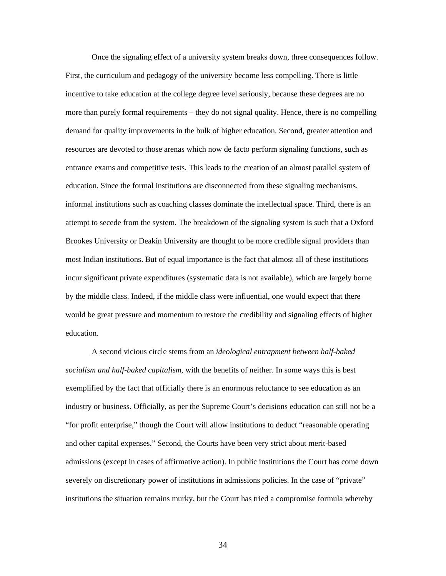Once the signaling effect of a university system breaks down, three consequences follow. First, the curriculum and pedagogy of the university become less compelling. There is little incentive to take education at the college degree level seriously, because these degrees are no more than purely formal requirements – they do not signal quality. Hence, there is no compelling demand for quality improvements in the bulk of higher education. Second, greater attention and resources are devoted to those arenas which now de facto perform signaling functions, such as entrance exams and competitive tests. This leads to the creation of an almost parallel system of education. Since the formal institutions are disconnected from these signaling mechanisms, informal institutions such as coaching classes dominate the intellectual space. Third, there is an attempt to secede from the system. The breakdown of the signaling system is such that a Oxford Brookes University or Deakin University are thought to be more credible signal providers than most Indian institutions. But of equal importance is the fact that almost all of these institutions incur significant private expenditures (systematic data is not available), which are largely borne by the middle class. Indeed, if the middle class were influential, one would expect that there would be great pressure and momentum to restore the credibility and signaling effects of higher education.

A second vicious circle stems from an *ideological entrapment between half-baked socialism and half-baked capitalism*, with the benefits of neither. In some ways this is best exemplified by the fact that officially there is an enormous reluctance to see education as an industry or business. Officially, as per the Supreme Court's decisions education can still not be a "for profit enterprise," though the Court will allow institutions to deduct "reasonable operating and other capital expenses." Second, the Courts have been very strict about merit-based admissions (except in cases of affirmative action). In public institutions the Court has come down severely on discretionary power of institutions in admissions policies. In the case of "private" institutions the situation remains murky, but the Court has tried a compromise formula whereby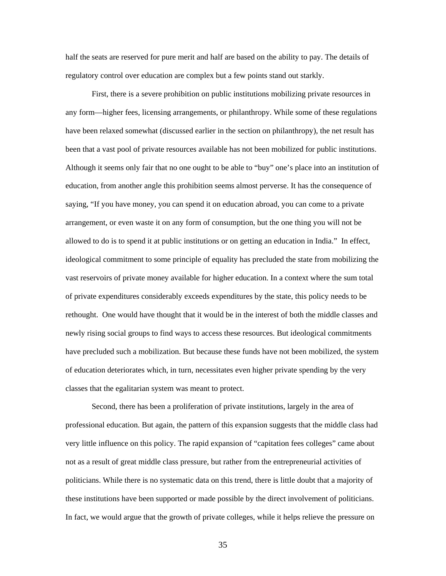half the seats are reserved for pure merit and half are based on the ability to pay. The details of regulatory control over education are complex but a few points stand out starkly.

First, there is a severe prohibition on public institutions mobilizing private resources in any form—higher fees, licensing arrangements, or philanthropy. While some of these regulations have been relaxed somewhat (discussed earlier in the section on philanthropy), the net result has been that a vast pool of private resources available has not been mobilized for public institutions. Although it seems only fair that no one ought to be able to "buy" one's place into an institution of education, from another angle this prohibition seems almost perverse. It has the consequence of saying, "If you have money, you can spend it on education abroad, you can come to a private arrangement, or even waste it on any form of consumption, but the one thing you will not be allowed to do is to spend it at public institutions or on getting an education in India." In effect, ideological commitment to some principle of equality has precluded the state from mobilizing the vast reservoirs of private money available for higher education. In a context where the sum total of private expenditures considerably exceeds expenditures by the state, this policy needs to be rethought. One would have thought that it would be in the interest of both the middle classes and newly rising social groups to find ways to access these resources. But ideological commitments have precluded such a mobilization. But because these funds have not been mobilized, the system of education deteriorates which, in turn, necessitates even higher private spending by the very classes that the egalitarian system was meant to protect.

Second, there has been a proliferation of private institutions, largely in the area of professional education. But again, the pattern of this expansion suggests that the middle class had very little influence on this policy. The rapid expansion of "capitation fees colleges" came about not as a result of great middle class pressure, but rather from the entrepreneurial activities of politicians. While there is no systematic data on this trend, there is little doubt that a majority of these institutions have been supported or made possible by the direct involvement of politicians. In fact, we would argue that the growth of private colleges, while it helps relieve the pressure on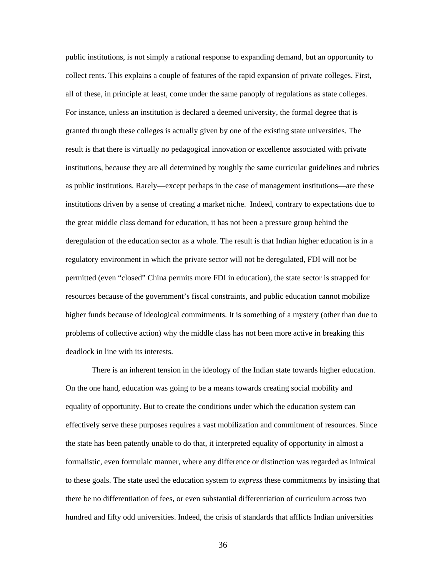public institutions, is not simply a rational response to expanding demand, but an opportunity to collect rents. This explains a couple of features of the rapid expansion of private colleges. First, all of these, in principle at least, come under the same panoply of regulations as state colleges. For instance, unless an institution is declared a deemed university, the formal degree that is granted through these colleges is actually given by one of the existing state universities. The result is that there is virtually no pedagogical innovation or excellence associated with private institutions, because they are all determined by roughly the same curricular guidelines and rubrics as public institutions. Rarely—except perhaps in the case of management institutions—are these institutions driven by a sense of creating a market niche. Indeed, contrary to expectations due to the great middle class demand for education, it has not been a pressure group behind the deregulation of the education sector as a whole. The result is that Indian higher education is in a regulatory environment in which the private sector will not be deregulated, FDI will not be permitted (even "closed" China permits more FDI in education), the state sector is strapped for resources because of the government's fiscal constraints, and public education cannot mobilize higher funds because of ideological commitments. It is something of a mystery (other than due to problems of collective action) why the middle class has not been more active in breaking this deadlock in line with its interests.

There is an inherent tension in the ideology of the Indian state towards higher education. On the one hand, education was going to be a means towards creating social mobility and equality of opportunity. But to create the conditions under which the education system can effectively serve these purposes requires a vast mobilization and commitment of resources. Since the state has been patently unable to do that, it interpreted equality of opportunity in almost a formalistic, even formulaic manner, where any difference or distinction was regarded as inimical to these goals. The state used the education system to *express* these commitments by insisting that there be no differentiation of fees, or even substantial differentiation of curriculum across two hundred and fifty odd universities. Indeed, the crisis of standards that afflicts Indian universities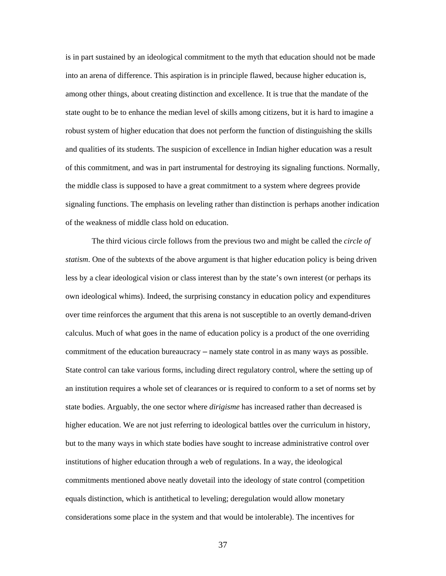is in part sustained by an ideological commitment to the myth that education should not be made into an arena of difference. This aspiration is in principle flawed, because higher education is, among other things, about creating distinction and excellence. It is true that the mandate of the state ought to be to enhance the median level of skills among citizens, but it is hard to imagine a robust system of higher education that does not perform the function of distinguishing the skills and qualities of its students. The suspicion of excellence in Indian higher education was a result of this commitment, and was in part instrumental for destroying its signaling functions. Normally, the middle class is supposed to have a great commitment to a system where degrees provide signaling functions. The emphasis on leveling rather than distinction is perhaps another indication of the weakness of middle class hold on education.

The third vicious circle follows from the previous two and might be called the *circle of statism*. One of the subtexts of the above argument is that higher education policy is being driven less by a clear ideological vision or class interest than by the state's own interest (or perhaps its own ideological whims). Indeed, the surprising constancy in education policy and expenditures over time reinforces the argument that this arena is not susceptible to an overtly demand-driven calculus. Much of what goes in the name of education policy is a product of the one overriding commitment of the education bureaucracy – namely state control in as many ways as possible. State control can take various forms, including direct regulatory control, where the setting up of an institution requires a whole set of clearances or is required to conform to a set of norms set by state bodies. Arguably, the one sector where *dirigisme* has increased rather than decreased is higher education. We are not just referring to ideological battles over the curriculum in history, but to the many ways in which state bodies have sought to increase administrative control over institutions of higher education through a web of regulations. In a way, the ideological commitments mentioned above neatly dovetail into the ideology of state control (competition equals distinction, which is antithetical to leveling; deregulation would allow monetary considerations some place in the system and that would be intolerable). The incentives for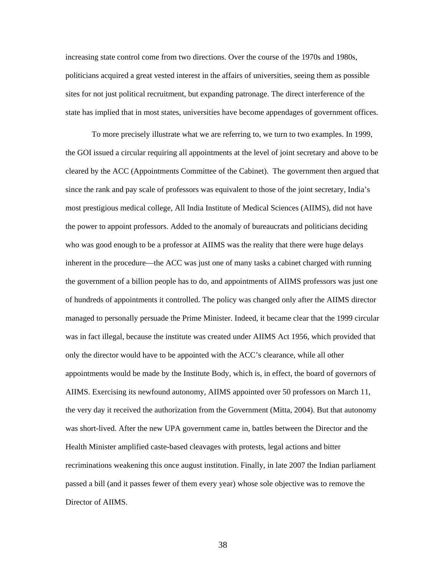increasing state control come from two directions. Over the course of the 1970s and 1980s, politicians acquired a great vested interest in the affairs of universities, seeing them as possible sites for not just political recruitment, but expanding patronage. The direct interference of the state has implied that in most states, universities have become appendages of government offices.

To more precisely illustrate what we are referring to, we turn to two examples. In 1999, the GOI issued a circular requiring all appointments at the level of joint secretary and above to be cleared by the ACC (Appointments Committee of the Cabinet). The government then argued that since the rank and pay scale of professors was equivalent to those of the joint secretary, India's most prestigious medical college, All India Institute of Medical Sciences (AIIMS), did not have the power to appoint professors. Added to the anomaly of bureaucrats and politicians deciding who was good enough to be a professor at AIIMS was the reality that there were huge delays inherent in the procedure—the ACC was just one of many tasks a cabinet charged with running the government of a billion people has to do, and appointments of AIIMS professors was just one of hundreds of appointments it controlled. The policy was changed only after the AIIMS director managed to personally persuade the Prime Minister. Indeed, it became clear that the 1999 circular was in fact illegal, because the institute was created under AIIMS Act 1956, which provided that only the director would have to be appointed with the ACC's clearance, while all other appointments would be made by the Institute Body, which is, in effect, the board of governors of AIIMS. Exercising its newfound autonomy, AIIMS appointed over 50 professors on March 11, the very day it received the authorization from the Government (Mitta, 2004). But that autonomy was short-lived. After the new UPA government came in, battles between the Director and the Health Minister amplified caste-based cleavages with protests, legal actions and bitter recriminations weakening this once august institution. Finally, in late 2007 the Indian parliament passed a bill (and it passes fewer of them every year) whose sole objective was to remove the Director of AIIMS.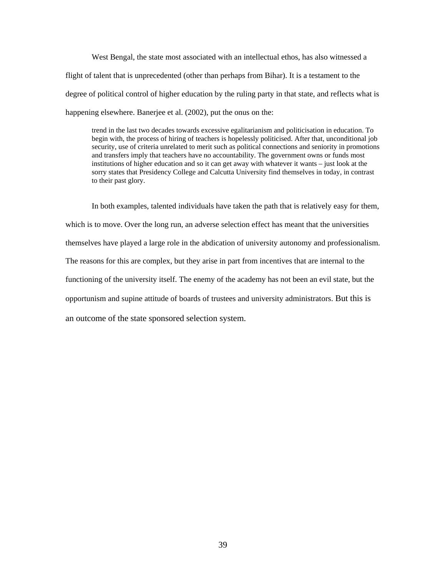West Bengal, the state most associated with an intellectual ethos, has also witnessed a flight of talent that is unprecedented (other than perhaps from Bihar). It is a testament to the degree of political control of higher education by the ruling party in that state, and reflects what is happening elsewhere. Banerjee et al. (2002), put the onus on the:

trend in the last two decades towards excessive egalitarianism and politicisation in education. To begin with, the process of hiring of teachers is hopelessly politicised. After that, unconditional job security, use of criteria unrelated to merit such as political connections and seniority in promotions and transfers imply that teachers have no accountability. The government owns or funds most institutions of higher education and so it can get away with whatever it wants – just look at the sorry states that Presidency College and Calcutta University find themselves in today, in contrast to their past glory.

In both examples, talented individuals have taken the path that is relatively easy for them, which is to move. Over the long run, an adverse selection effect has meant that the universities themselves have played a large role in the abdication of university autonomy and professionalism. The reasons for this are complex, but they arise in part from incentives that are internal to the functioning of the university itself. The enemy of the academy has not been an evil state, but the opportunism and supine attitude of boards of trustees and university administrators. But this is an outcome of the state sponsored selection system.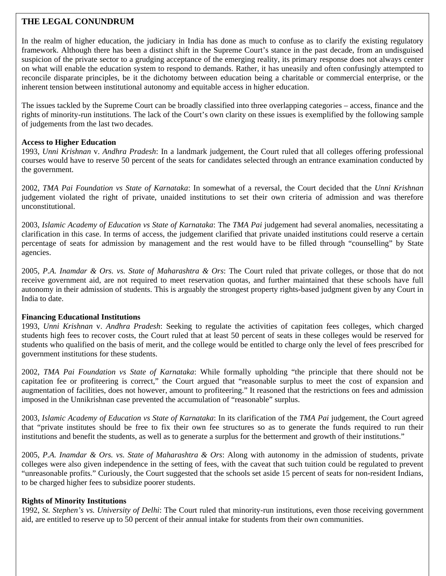# **THE LEGAL CONUNDRUM**

In the realm of higher education, the judiciary in India has done as much to confuse as to clarify the existing regulatory framework. Although there has been a distinct shift in the Supreme Court's stance in the past decade, from an undisguised suspicion of the private sector to a grudging acceptance of the emerging reality, its primary response does not always center on what will enable the education system to respond to demands. Rather, it has uneasily and often confusingly attempted to reconcile disparate principles, be it the dichotomy between education being a charitable or commercial enterprise, or the inherent tension between institutional autonomy and equitable access in higher education.

The issues tackled by the Supreme Court can be broadly classified into three overlapping categories – access, finance and the rights of minority-run institutions. The lack of the Court's own clarity on these issues is exemplified by the following sample of judgements from the last two decades.

## **Access to Higher Education**

1993, *Unni Krishnan* v. *Andhra Pradesh*: In a landmark judgement, the Court ruled that all colleges offering professional courses would have to reserve 50 percent of the seats for candidates selected through an entrance examination conducted by the government.

2002, *TMA Pai Foundation vs State of Karnataka*: In somewhat of a reversal, the Court decided that the *Unni Krishnan* judgement violated the right of private, unaided institutions to set their own criteria of admission and was therefore unconstitutional.

2003, *Islamic Academy of Education vs State of Karnataka*: The *TMA Pai* judgement had several anomalies, necessitating a clarification in this case. In terms of access, the judgement clarified that private unaided institutions could reserve a certain percentage of seats for admission by management and the rest would have to be filled through "counselling" by State agencies.

2005, *P.A. Inamdar & Ors. vs. State of Maharashtra & Ors*: The Court ruled that private colleges, or those that do not receive government aid, are not required to meet reservation quotas, and further maintained that these schools have full autonomy in their admission of students. This is arguably the strongest property rights-based judgment given by any Court in India to date.

## **Financing Educational Institutions**

1993, *Unni Krishnan* v. *Andhra Pradesh*: Seeking to regulate the activities of capitation fees colleges, which charged students high fees to recover costs, the Court ruled that at least 50 percent of seats in these colleges would be reserved for students who qualified on the basis of merit, and the college would be entitled to charge only the level of fees prescribed for government institutions for these students.

2002, *TMA Pai Foundation vs State of Karnataka*: While formally upholding "the principle that there should not be capitation fee or profiteering is correct," the Court argued that "reasonable surplus to meet the cost of expansion and augmentation of facilities, does not however, amount to profiteering." It reasoned that the restrictions on fees and admission imposed in the Unnikrishnan case prevented the accumulation of "reasonable" surplus.

2003, *Islamic Academy of Education vs State of Karnataka*: In its clarification of the *TMA Pai* judgement, the Court agreed that "private institutes should be free to fix their own fee structures so as to generate the funds required to run their institutions and benefit the students, as well as to generate a surplus for the betterment and growth of their institutions."

2005, *P.A. Inamdar & Ors. vs. State of Maharashtra & Ors*: Along with autonomy in the admission of students, private colleges were also given independence in the setting of fees, with the caveat that such tuition could be regulated to prevent "unreasonable profits." Curiously, the Court suggested that the schools set aside 15 percent of seats for non-resident Indians, to be charged higher fees to subsidize poorer students.

## **Rights of Minority Institutions**

1992, *St. Stephen's vs. University of Delhi*: The Court ruled that minority-run institutions, even those receiving government aid, are entitled to reserve up to 50 percent of their annual intake for students from their own communities.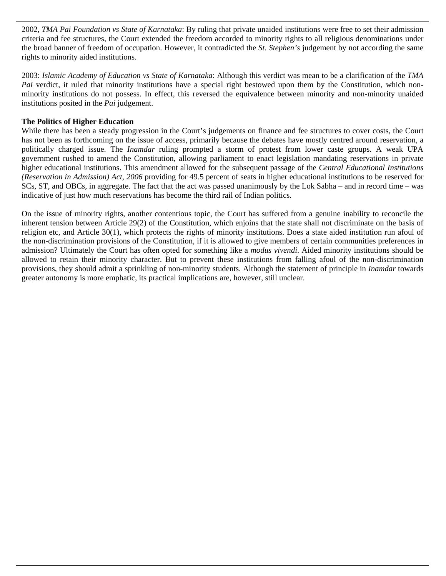2002, *TMA Pai Foundation vs State of Karnataka*: By ruling that private unaided institutions were free to set their admission criteria and fee structures, the Court extended the freedom accorded to minority rights to all religious denominations under the broad banner of freedom of occupation. However, it contradicted the *St. Stephen's* judgement by not according the same rights to minority aided institutions.

2003: *Islamic Academy of Education vs State of Karnataka*: Although this verdict was mean to be a clarification of the *TMA Pai* verdict, it ruled that minority institutions have a special right bestowed upon them by the Constitution, which nonminority institutions do not possess. In effect, this reversed the equivalence between minority and non-minority unaided institutions posited in the *Pai* judgement.

# **The Politics of Higher Education**

While there has been a steady progression in the Court's judgements on finance and fee structures to cover costs, the Court has not been as forthcoming on the issue of access, primarily because the debates have mostly centred around reservation, a politically charged issue. The *Inamdar* ruling prompted a storm of protest from lower caste groups. A weak UPA government rushed to amend the Constitution, allowing parliament to enact legislation mandating reservations in private higher educational institutions. This amendment allowed for the subsequent passage of the *Central Educational Institutions (Reservation in Admission) Act, 2006* providing for 49.5 percent of seats in higher educational institutions to be reserved for SCs, ST, and OBCs, in aggregate. The fact that the act was passed unanimously by the Lok Sabha – and in record time – was indicative of just how much reservations has become the third rail of Indian politics.

On the issue of minority rights, another contentious topic, the Court has suffered from a genuine inability to reconcile the inherent tension between Article 29(2) of the Constitution, which enjoins that the state shall not discriminate on the basis of religion etc, and Article 30(1), which protects the rights of minority institutions. Does a state aided institution run afoul of the non-discrimination provisions of the Constitution, if it is allowed to give members of certain communities preferences in admission? Ultimately the Court has often opted for something like a *modus vivendi*. Aided minority institutions should be allowed to retain their minority character. But to prevent these institutions from falling afoul of the non-discrimination provisions, they should admit a sprinkling of non-minority students. Although the statement of principle in *Inamdar* towards greater autonomy is more emphatic, its practical implications are, however, still unclear.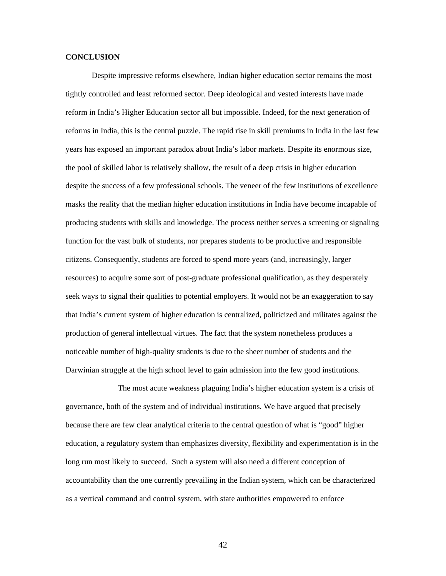#### **CONCLUSION**

Despite impressive reforms elsewhere, Indian higher education sector remains the most tightly controlled and least reformed sector. Deep ideological and vested interests have made reform in India's Higher Education sector all but impossible. Indeed, for the next generation of reforms in India, this is the central puzzle. The rapid rise in skill premiums in India in the last few years has exposed an important paradox about India's labor markets. Despite its enormous size, the pool of skilled labor is relatively shallow, the result of a deep crisis in higher education despite the success of a few professional schools. The veneer of the few institutions of excellence masks the reality that the median higher education institutions in India have become incapable of producing students with skills and knowledge. The process neither serves a screening or signaling function for the vast bulk of students, nor prepares students to be productive and responsible citizens. Consequently, students are forced to spend more years (and, increasingly, larger resources) to acquire some sort of post-graduate professional qualification, as they desperately seek ways to signal their qualities to potential employers. It would not be an exaggeration to say that India's current system of higher education is centralized, politicized and militates against the production of general intellectual virtues. The fact that the system nonetheless produces a noticeable number of high-quality students is due to the sheer number of students and the Darwinian struggle at the high school level to gain admission into the few good institutions.

 The most acute weakness plaguing India's higher education system is a crisis of governance, both of the system and of individual institutions. We have argued that precisely because there are few clear analytical criteria to the central question of what is "good" higher education, a regulatory system than emphasizes diversity, flexibility and experimentation is in the long run most likely to succeed. Such a system will also need a different conception of accountability than the one currently prevailing in the Indian system, which can be characterized as a vertical command and control system, with state authorities empowered to enforce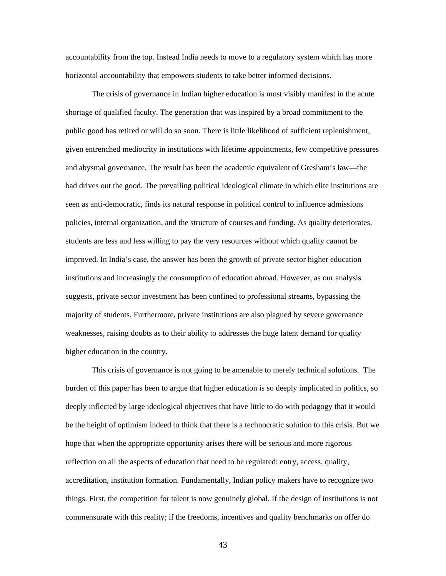accountability from the top. Instead India needs to move to a regulatory system which has more horizontal accountability that empowers students to take better informed decisions.

The crisis of governance in Indian higher education is most visibly manifest in the acute shortage of qualified faculty. The generation that was inspired by a broad commitment to the public good has retired or will do so soon. There is little likelihood of sufficient replenishment, given entrenched mediocrity in institutions with lifetime appointments, few competitive pressures and abysmal governance. The result has been the academic equivalent of Gresham's law—the bad drives out the good. The prevailing political ideological climate in which elite institutions are seen as anti-democratic, finds its natural response in political control to influence admissions policies, internal organization, and the structure of courses and funding. As quality deteriorates, students are less and less willing to pay the very resources without which quality cannot be improved. In India's case, the answer has been the growth of private sector higher education institutions and increasingly the consumption of education abroad. However, as our analysis suggests, private sector investment has been confined to professional streams, bypassing the majority of students. Furthermore, private institutions are also plagued by severe governance weaknesses, raising doubts as to their ability to addresses the huge latent demand for quality higher education in the country.

 This crisis of governance is not going to be amenable to merely technical solutions. The burden of this paper has been to argue that higher education is so deeply implicated in politics, so deeply inflected by large ideological objectives that have little to do with pedagogy that it would be the height of optimism indeed to think that there is a technocratic solution to this crisis. But we hope that when the appropriate opportunity arises there will be serious and more rigorous reflection on all the aspects of education that need to be regulated: entry, access, quality, accreditation, institution formation. Fundamentally, Indian policy makers have to recognize two things. First, the competition for talent is now genuinely global. If the design of institutions is not commensurate with this reality; if the freedoms, incentives and quality benchmarks on offer do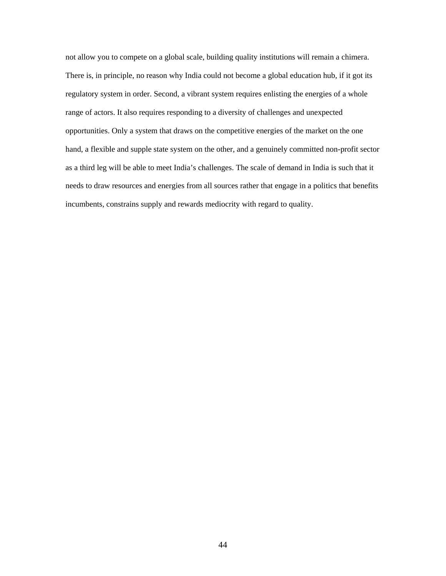not allow you to compete on a global scale, building quality institutions will remain a chimera. There is, in principle, no reason why India could not become a global education hub, if it got its regulatory system in order. Second, a vibrant system requires enlisting the energies of a whole range of actors. It also requires responding to a diversity of challenges and unexpected opportunities. Only a system that draws on the competitive energies of the market on the one hand, a flexible and supple state system on the other, and a genuinely committed non-profit sector as a third leg will be able to meet India's challenges. The scale of demand in India is such that it needs to draw resources and energies from all sources rather that engage in a politics that benefits incumbents, constrains supply and rewards mediocrity with regard to quality.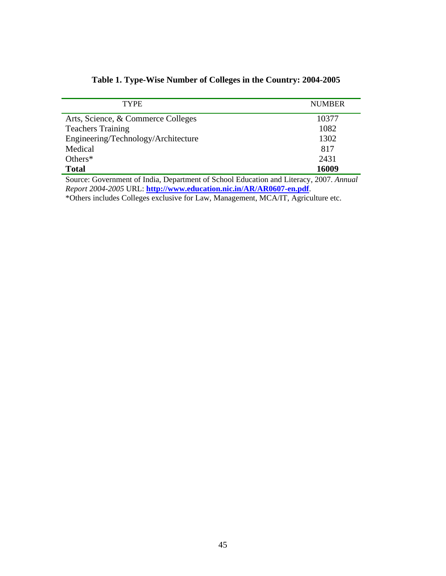| <b>TYPE</b>                         | <b>NUMBER</b> |
|-------------------------------------|---------------|
| Arts, Science, & Commerce Colleges  | 10377         |
| <b>Teachers Training</b>            | 1082          |
| Engineering/Technology/Architecture | 1302          |
| Medical                             | 817           |
| Others $*$                          | 2431          |
| <b>Total</b>                        | 16009         |

# **Table 1. Type-Wise Number of Colleges in the Country: 2004-2005**

Source: Government of India, Department of School Education and Literacy, 2007. *Annual Report 2004-2005* URL: **<http://www.education.nic.in/AR/AR0607-en.pdf>**.

\*Others includes Colleges exclusive for Law, Management, MCA/IT, Agriculture etc.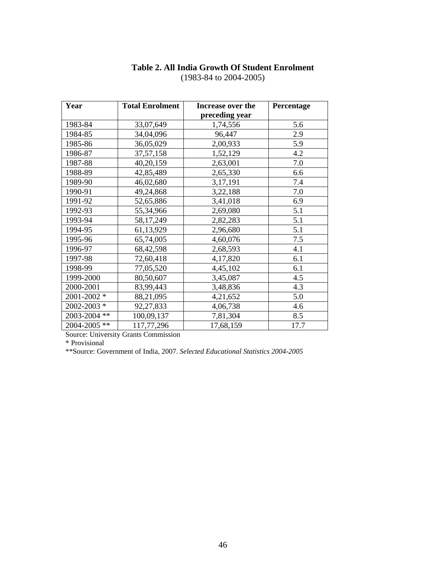# **Table 2. All India Growth Of Student Enrolment**

| Year         | <b>Total Enrolment</b> | Increase over the | Percentage |
|--------------|------------------------|-------------------|------------|
|              |                        | preceding year    |            |
| 1983-84      | 33,07,649              | 1,74,556          | 5.6        |
| 1984-85      | 34,04,096              | 96,447            | 2.9        |
| 1985-86      | 36,05,029              | 2,00,933          | 5.9        |
| 1986-87      | 37, 57, 158            | 1,52,129          | 4.2        |
| 1987-88      | 40,20,159              | 2,63,001          | $7.0\,$    |
| 1988-89      | 42,85,489              | 2,65,330          | 6.6        |
| 1989-90      | 46,02,680              | 3,17,191          | 7.4        |
| 1990-91      | 49,24,868              | 3,22,188          | 7.0        |
| 1991-92      | 52,65,886              | 3,41,018          | 6.9        |
| 1992-93      | 55,34,966              | 2,69,080          | 5.1        |
| 1993-94      | 58,17,249              | 2,82,283          | 5.1        |
| 1994-95      | 61,13,929              | 2,96,680          | 5.1        |
| 1995-96      | 65,74,005              | 4,60,076          | 7.5        |
| 1996-97      | 68,42,598              | 2,68,593          | 4.1        |
| 1997-98      | 72,60,418              | 4,17,820          | 6.1        |
| 1998-99      | 77,05,520              | 4,45,102          | 6.1        |
| 1999-2000    | 80,50,607              | 3,45,087          | 4.5        |
| 2000-2001    | 83,99,443              | 3,48,836          | 4.3        |
| 2001-2002 *  | 88,21,095              | 4,21,652          | 5.0        |
| 2002-2003 *  | 92,27,833              | 4,06,738          | 4.6        |
| 2003-2004 ** | 100,09,137             | 7,81,304          | 8.5        |
| 2004-2005 ** | 117,77,296             | 17,68,159         | 17.7       |

(1983-84 to 2004-2005)

Source: University Grants Commission

\* Provisional

\*\*Source: Government of India, 2007. *Selected Educational Statistics 2004-2005*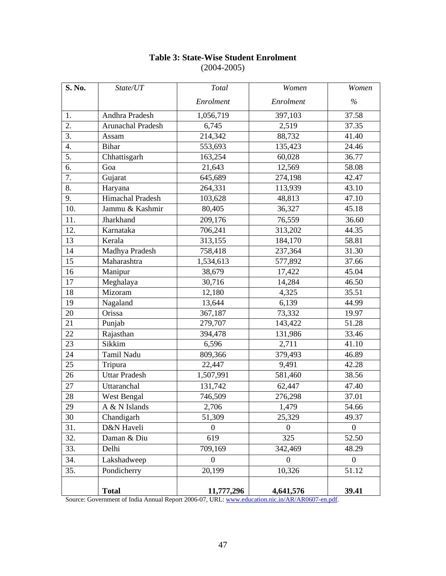| S. No.           | State/UT             | Total          | Women          | Women              |
|------------------|----------------------|----------------|----------------|--------------------|
|                  |                      | Enrolment      | Enrolment      | $\frac{0}{0}$      |
| 1.               | Andhra Pradesh       | 1,056,719      | 397,103        | 37.58              |
| 2.               | Arunachal Pradesh    | 6,745          | 2,519          | 37.35              |
| $\overline{3}$ . | Assam                | 214,342        | 88,732         | 41.40              |
| $\overline{4}$ . | <b>Bihar</b>         | 553,693        | 135,423        | 24.46              |
| 5.               | Chhattisgarh         | 163,254        | 60,028         | 36.77              |
| 6.               | Goa                  | 21,643         | 12,569         | 58.08              |
| 7.               | Gujarat              | 645,689        | 274,198        | 42.47              |
| 8.               | Haryana              | 264,331        | 113,939        | 43.10              |
| 9.               | Himachal Pradesh     | 103,628        | 48,813         | 47.10              |
| 10.              | Jammu & Kashmir      | 80,405         | 36,327         | 45.18              |
| 11.              | Jharkhand            | 209,176        | 76,559         | 36.60              |
| 12.              | Karnataka            | 706,241        | 313,202        | 44.35              |
| 13               | Kerala               | 313,155        | 184,170        | 58.81              |
| 14               | Madhya Pradesh       | 758,418        | 237,364        | $\overline{31.30}$ |
| 15               | Maharashtra          | 1,534,613      | 577,892        | 37.66              |
| 16               | Manipur              | 38,679         | 17,422         | 45.04              |
| 17               | Meghalaya            | 30,716         | 14,284         | 46.50              |
| 18               | Mizoram              | 12,180         | 4,325          | 35.51              |
| 19               | Nagaland             | 13,644         | 6,139          | 44.99              |
| 20               | Orissa               | 367,187        | 73,332         | 19.97              |
| 21               | Punjab               | 279,707        | 143,422        | 51.28              |
| 22               | Rajasthan            | 394,478        | 131,986        | 33.46              |
| 23               | Sikkim               | 6,596          | 2,711          | 41.10              |
| 24               | Tamil Nadu           | 809,366        | 379,493        | 46.89              |
| 25               | Tripura              | 22,447         | 9,491          | 42.28              |
| 26               | <b>Uttar Pradesh</b> | 1,507,991      | 581,460        | 38.56              |
| 27               | Uttaranchal          | 131,742        | 62,447         | 47.40              |
| 28               | West Bengal          | 746,509        | 276,298        | 37.01              |
| 29               | A & N Islands        | 2,706          | 1,479          | 54.66              |
| 30               | Chandigarh           | 51,309         | 25,329         | 49.37              |
| 31.              | D&N Haveli           | $\overline{0}$ | $\overline{0}$ | $\overline{0}$     |
| 32.              | Daman & Diu          | 619            | 325            | 52.50              |
| 33.              | Delhi                | 709,169        | 342,469        | 48.29              |
| 34.              | Lakshadweep          | $\overline{0}$ | $\overline{0}$ | $\overline{0}$     |
| 35.              | Pondicherry          | 20,199         | 10,326         | 51.12              |
|                  | <b>Total</b>         | 11,777,296     | 4,641,576      | 39.41              |

# **Table 3: State-Wise Student Enrolment**  (2004-2005)

Source: Government of India Annual Report 2006-07, URL: [www.education.nic.in/AR/AR0607-en.pdf](http://www.education.nic.in/AR/AR0607-en.pdf).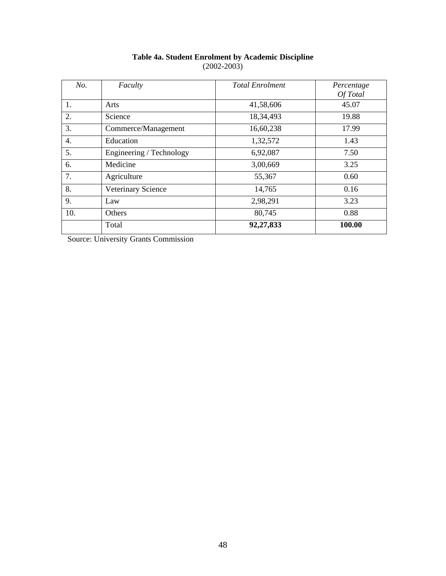| No.              | Faculty                  | <b>Total Enrolment</b> | Percentage<br>Of Total |
|------------------|--------------------------|------------------------|------------------------|
| 1.               | Arts                     | 41,58,606              | 45.07                  |
| 2.               | Science                  | 18,34,493              | 19.88                  |
| 3.               | Commerce/Management      | 16,60,238              | 17.99                  |
| $\overline{4}$ . | Education                | 1,32,572               | 1.43                   |
| 5.               | Engineering / Technology | 6,92,087               | 7.50                   |
| 6.               | Medicine                 | 3,00,669               | 3.25                   |
| 7.               | Agriculture              | 55,367                 | 0.60                   |
| 8.               | Veterinary Science       | 14,765                 | 0.16                   |
| 9.               | Law                      | 2,98,291               | 3.23                   |
| 10.              | Others                   | 80,745                 | 0.88                   |
|                  | Total                    | 92,27,833              | 100.00                 |

## **Table 4a. Student Enrolment by Academic Discipline**  (2002-2003)

Source: University Grants Commission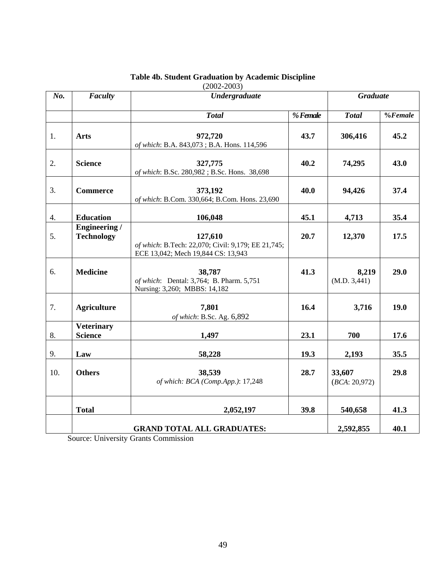| No. | Faculty                                   | <b>Undergraduate</b>                                                                                | <b>Graduate</b> |                         |             |
|-----|-------------------------------------------|-----------------------------------------------------------------------------------------------------|-----------------|-------------------------|-------------|
|     |                                           | <b>Total</b>                                                                                        | % Female        | <b>Total</b>            | $%$ Female  |
| 1.  | <b>Arts</b>                               | 972,720<br>of which: B.A. 843,073; B.A. Hons. 114,596                                               | 43.7            | 306,416                 | 45.2        |
| 2.  | <b>Science</b>                            | 327,775<br>of which: B.Sc. 280,982; B.Sc. Hons. 38,698                                              | 40.2            | 74,295                  | 43.0        |
| 3.  | <b>Commerce</b>                           | 373,192<br>of which: B.Com. 330,664; B.Com. Hons. 23,690                                            | 40.0            | 94,426                  | 37.4        |
| 4.  | <b>Education</b>                          | 106,048                                                                                             | 45.1            | 4,713                   | 35.4        |
| 5.  | <b>Engineering</b> /<br><b>Technology</b> | 127,610<br>of which: B.Tech: 22,070; Civil: 9,179; EE 21,745;<br>ECE 13,042; Mech 19,844 CS: 13,943 | 20.7            | 12,370                  | 17.5        |
| 6.  | <b>Medicine</b>                           | 38,787<br>of which: Dental: 3,764; B. Pharm. 5,751<br>Nursing: 3,260; MBBS: 14,182                  | 41.3            | 8,219<br>(M.D. 3,441)   | 29.0        |
| 7.  | <b>Agriculture</b>                        | 7,801<br>of which: B.Sc. Ag. 6,892                                                                  | 16.4            | 3,716                   | <b>19.0</b> |
| 8.  | <b>Veterinary</b><br><b>Science</b>       | 1,497                                                                                               | 23.1            | 700                     | 17.6        |
| 9.  | Law                                       | 58,228                                                                                              | 19.3            | 2,193                   | 35.5        |
| 10. | <b>Others</b>                             | 38,539<br>of which: BCA (Comp.App.): 17,248                                                         | 28.7            | 33,607<br>(BCA: 20,972) | 29.8        |
|     | <b>Total</b>                              | 2,052,197                                                                                           | 39.8            | 540,658                 | 41.3        |
|     |                                           |                                                                                                     | 2,592,855       | 40.1                    |             |

# **Table 4b. Student Graduation by Academic Discipline**

(2002-2003)

Source: University Grants Commission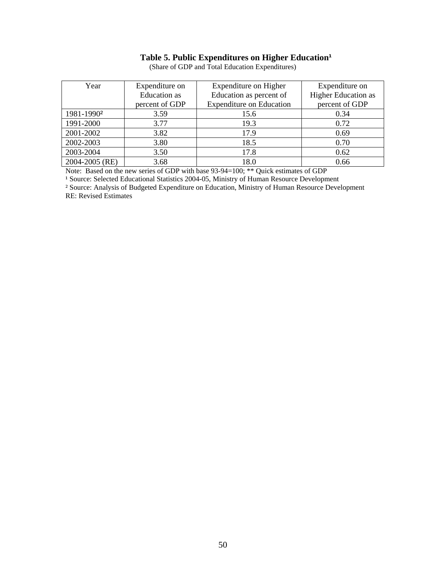# Table 5. Public Expenditures on Higher Education<sup>1</sup>

| Year                   | Expenditure on      | Expenditure on Higher           | Expenditure on      |
|------------------------|---------------------|---------------------------------|---------------------|
|                        | <b>Education</b> as | Education as percent of         | Higher Education as |
|                        | percent of GDP      | <b>Expenditure on Education</b> | percent of GDP      |
| 1981-1990 <sup>2</sup> | 3.59                | 15.6                            | 0.34                |
| 1991-2000              | 3.77                | 19.3                            | 0.72                |
| 2001-2002              | 3.82                | 17.9                            | 0.69                |
| 2002-2003              | 3.80                | 18.5                            | 0.70                |
| 2003-2004              | 3.50                | 17.8                            | 0.62                |
| 2004-2005 (RE)         | 3.68                | 18.0                            | 0.66                |

(Share of GDP and Total Education Expenditures)

Note: Based on the new series of GDP with base 93-94=100; \*\* Quick estimates of GDP

<sup>1</sup> Source: Selected Educational Statistics 2004-05, Ministry of Human Resource Development

² Source: Analysis of Budgeted Expenditure on Education, Ministry of Human Resource Development RE: Revised Estimates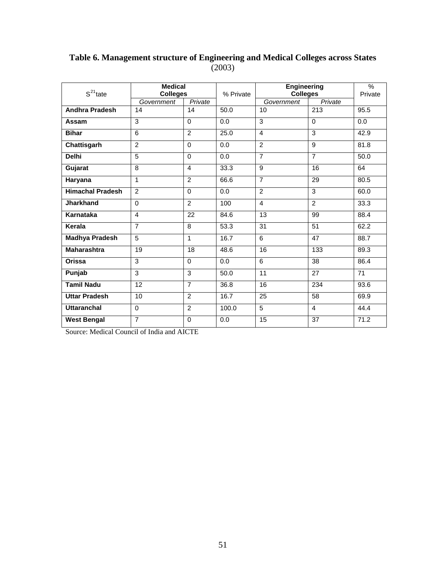# **Table 6. Management structure of Engineering and Medical Colleges across States** (2003)

| $S^{21}$ tate           | <b>Medical</b><br><b>Colleges</b> |                | % Private | <b>Engineering</b><br><b>Colleges</b> |                | $\%$<br>Private |
|-------------------------|-----------------------------------|----------------|-----------|---------------------------------------|----------------|-----------------|
|                         | Government                        | Private        |           | Government                            | Private        |                 |
| <b>Andhra Pradesh</b>   | 14                                | 14             | 50.0      | 10                                    | 213            | 95.5            |
| Assam                   | 3                                 | $\Omega$       | 0.0       | $\overline{3}$                        | $\mathbf 0$    | 0.0             |
| <b>Bihar</b>            | 6                                 | $\mathfrak{p}$ | 25.0      | $\overline{4}$                        | $\overline{3}$ | 42.9            |
| Chattisgarh             | 2                                 | $\Omega$       | 0.0       | $\overline{2}$                        | 9              | 81.8            |
| <b>Delhi</b>            | 5                                 | $\Omega$       | 0.0       | $\overline{7}$                        | $\overline{7}$ | 50.0            |
| Gujarat                 | 8                                 | $\overline{4}$ | 33.3      | 9                                     | 16             | 64              |
| Haryana                 | 1                                 | 2              | 66.6      | $\overline{7}$                        | 29             | 80.5            |
| <b>Himachal Pradesh</b> | $\mathfrak{p}$                    | $\Omega$       | 0.0       | $\overline{2}$                        | 3              | 60.0            |
| Jharkhand               | $\Omega$                          | $\overline{2}$ | 100       | $\overline{4}$                        | $\overline{2}$ | 33.3            |
| Karnataka               | $\overline{4}$                    | 22             | 84.6      | 13                                    | 99             | 88.4            |
| Kerala                  | $\overline{7}$                    | 8              | 53.3      | 31                                    | 51             | 62.2            |
| <b>Madhya Pradesh</b>   | 5                                 | 1              | 16.7      | 6                                     | 47             | 88.7            |
| <b>Maharashtra</b>      | 19                                | 18             | 48.6      | 16                                    | 133            | 89.3            |
| Orissa                  | 3                                 | $\Omega$       | 0.0       | 6                                     | 38             | 86.4            |
| Punjab                  | 3                                 | 3              | 50.0      | 11                                    | 27             | 71              |
| <b>Tamil Nadu</b>       | 12                                | $\overline{7}$ | 36.8      | 16                                    | 234            | 93.6            |
| <b>Uttar Pradesh</b>    | 10                                | 2              | 16.7      | 25                                    | 58             | 69.9            |
| <b>Uttaranchal</b>      | $\Omega$                          | 2              | 100.0     | $\overline{5}$                        | $\overline{4}$ | 44.4            |
| <b>West Bengal</b>      | $\overline{7}$                    | $\Omega$       | 0.0       | 15                                    | 37             | 71.2            |

Source: Medical Council of India and AICTE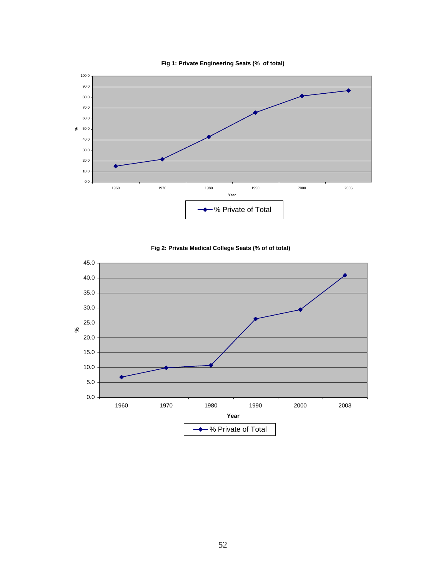





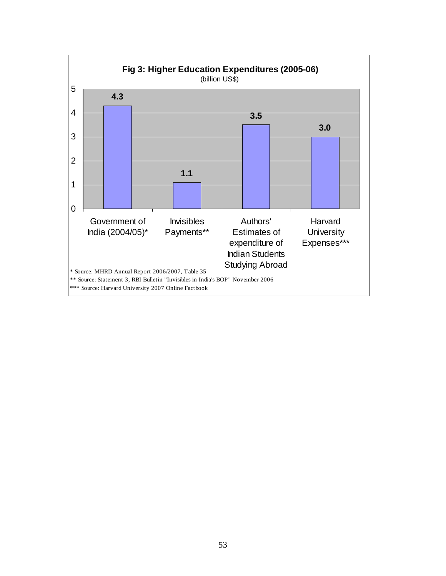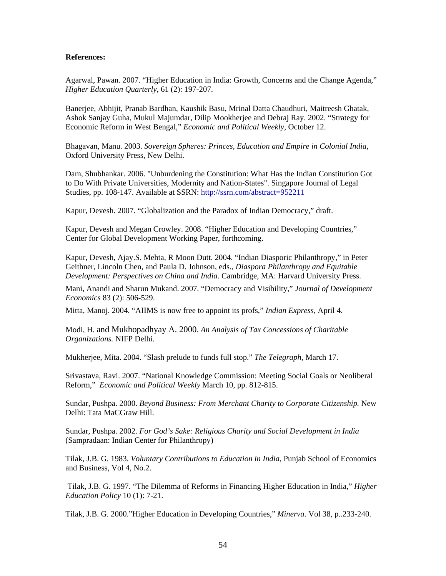### **References:**

Agarwal, Pawan. 2007. "Higher Education in India: Growth, Concerns and the Change Agenda," *Higher Education Quarterly*, 61 (2): 197-207.

Banerjee, Abhijit, Pranab Bardhan, Kaushik Basu, Mrinal Datta Chaudhuri, Maitreesh Ghatak, Ashok Sanjay Guha, Mukul Majumdar, Dilip Mookherjee and Debraj Ray. 2002. "Strategy for Economic Reform in West Bengal," *Economic and Political Weekly*, October 12.

Bhagavan, Manu. 2003. *Sovereign Spheres: Princes, Education and Empire in Colonial India*, Oxford University Press, New Delhi.

Dam, Shubhankar. 2006. "Unburdening the Constitution: What Has the Indian Constitution Got to Do With Private Universities, Modernity and Nation-States". Singapore Journal of Legal Studies, pp. 108-147. Available at SSRN:<http://ssrn.com/abstract=952211>

Kapur, Devesh. 2007. "Globalization and the Paradox of Indian Democracy," draft.

Kapur, Devesh and Megan Crowley. 2008. "Higher Education and Developing Countries," Center for Global Development Working Paper, forthcoming.

Kapur, Devesh, Ajay.S. Mehta, R Moon Dutt. 2004. "Indian Diasporic Philanthropy," in Peter Geithner, Lincoln Chen, and Paula D. Johnson, eds., *Diaspora Philanthropy and Equitable Development: Perspectives on China and India*. Cambridge, MA: Harvard University Press.

Mani, Anandi and Sharun Mukand. 2007. "Democracy and Visibility," *Journal of Development Economics* 83 (2): 506-529.

Mitta, Manoj. 2004. "AIIMS is now free to appoint its profs," *Indian Express*, April 4.

Modi, H. and Mukhopadhyay A. 2000. *An Analysis of Tax Concessions of Charitable Organizations.* NIFP Delhi.

Mukherjee, Mita. 2004. "Slash prelude to funds full stop." *The Telegraph*, March 17.

Srivastava, Ravi. 2007. "National Knowledge Commission: Meeting Social Goals or Neoliberal Reform," *Economic and Political Weekly* March 10, pp. 812-815.

Sundar, Pushpa. 2000. *Beyond Business: From Merchant Charity to Corporate Citizenship.* New Delhi: Tata MaCGraw Hill.

Sundar, Pushpa. 2002. *For God's Sake: Religious Charity and Social Development in India*  (Sampradaan: Indian Center for Philanthropy)

Tilak, J.B. G. 1983. *Voluntary Contributions to Education in India,* Punjab School of Economics and Business, Vol 4, No.2.

 Tilak, J.B. G. 1997. "The Dilemma of Reforms in Financing Higher Education in India," *Higher Education Policy* 10 (1): 7-21.

Tilak, J.B. G. 2000."Higher Education in Developing Countries," *Minerva*. Vol 38, p..233-240.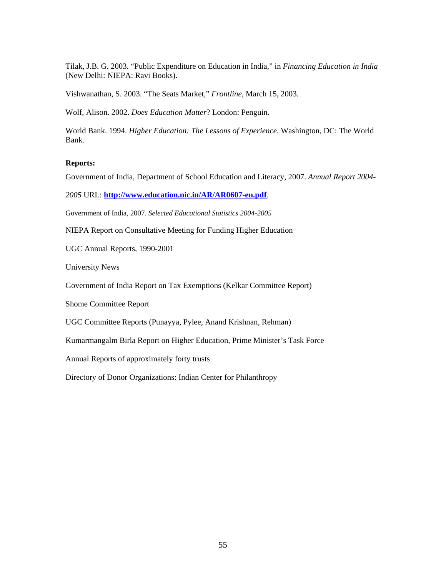Tilak, J.B. G. 2003. "Public Expenditure on Education in India," in *Financing Education in India* (New Delhi: NIEPA: Ravi Books).

Vishwanathan, S. 2003. "The Seats Market," *Frontline*, March 15, 2003.

Wolf, Alison. 2002. *Does Education Matter*? London: Penguin.

World Bank. 1994. *Higher Education: The Lessons of Experience*. Washington, DC: The World Bank.

#### **Reports:**

Government of India, Department of School Education and Literacy, 2007. *Annual Report 2004-*

*2005* URL: **<http://www.education.nic.in/AR/AR0607-en.pdf>**.

Government of India, 2007. *Selected Educational Statistics 2004-2005*

NIEPA Report on Consultative Meeting for Funding Higher Education

UGC Annual Reports, 1990-2001

University News

Government of India Report on Tax Exemptions (Kelkar Committee Report)

Shome Committee Report

UGC Committee Reports (Punayya, Pylee, Anand Krishnan, Rehman)

Kumarmangalm Birla Report on Higher Education, Prime Minister's Task Force

Annual Reports of approximately forty trusts

Directory of Donor Organizations: Indian Center for Philanthropy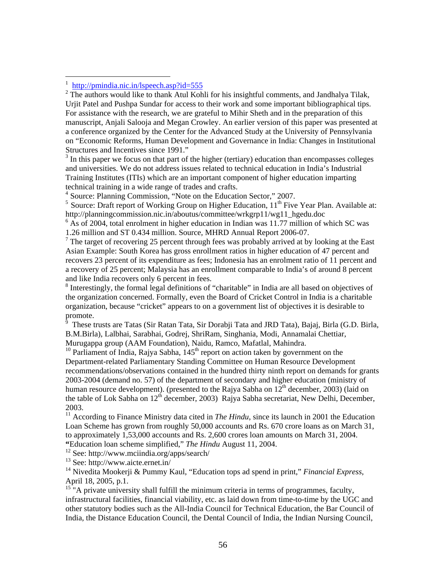$\overline{a}$ 

 $3$  In this paper we focus on that part of the higher (tertiary) education than encompasses colleges and universities. We do not address issues related to technical education in India's Industrial Training Institutes (ITIs) which are an important component of higher education imparting technical training in a wide range of trades and crafts.

<sup>4</sup> Source: Planning Commission, "Note on the Education Sector," 2007.

 $5$  Source: Draft report of Working Group on Higher Education,  $11<sup>th</sup>$  Five Year Plan. Available at: http://planningcommission.nic.in/aboutus/committee/wrkgrp11/wg11\_hgedu.doc

 $6$  As of 2004, total enrolment in higher education in Indian was 11.77 million of which SC was 1.26 million and ST 0.434 million. Source, MHRD Annual Report 2006-07.

<sup>7</sup> The target of recovering 25 percent through fees was probably arrived at by looking at the East Asian Example: South Korea has gross enrollment ratios in higher education of 47 percent and recovers 23 percent of its expenditure as fees; Indonesia has an enrolment ratio of 11 percent and a recovery of 25 percent; Malaysia has an enrollment comparable to India's of around 8 percent and like India recovers only 6 percent in fees.

<sup>8</sup> Interestingly, the formal legal definitions of "charitable" in India are all based on objectives of the organization concerned. Formally, even the Board of Cricket Control in India is a charitable organization, because "cricket" appears to on a government list of objectives it is desirable to promote.

9 These trusts are Tatas (Sir Ratan Tata, Sir Dorabji Tata and JRD Tata), Bajaj, Birla (G.D. Birla, B.M.Birla), Lalbhai, Sarabhai, Godrej, ShriRam, Singhania, Modi, Annamalai Chettiar, Murugappa group (AAM Foundation), Naidu, Ramco, Mafatlal, Mahindra.

<sup>10</sup> Parliament of India, Rajya Sabha,  $145<sup>th</sup>$  report on action taken by government on the Department-related Parliamentary Standing Committee on Human Resource Development recommendations/observations contained in the hundred thirty ninth report on demands for grants 2003-2004 (demand no. 57) of the department of secondary and higher education (ministry of human resource development). (presented to the Rajya Sabha on  $12<sup>th</sup>$  december, 2003) (laid on the table of Lok Sabha on  $12<sup>th</sup>$  december, 2003) Rajya Sabha secretariat, New Delhi, December, 2003.

<sup>11</sup> According to Finance Ministry data cited in *The Hindu*, since its launch in 2001 the Education Loan Scheme has grown from roughly 50,000 accounts and Rs. 670 crore loans as on March 31, to approximately 1,53,000 accounts and Rs. 2,600 crores loan amounts on March 31, 2004. **"**Education loan scheme simplified," *The Hindu* August 11, 2004.

12 See: http://www.mciindia.org/apps/search/

13 See: http://www.aicte.ernet.in/

14 Nivedita Mookerji & Pummy Kaul, "Education tops ad spend in print," *Financial Express*, April 18, 2005, p.1.

 $15$ <sup>15</sup> "A private university shall fulfill the minimum criteria in terms of programmes, faculty, infrastructural facilities, financial viability, etc. as laid down from time-to-time by the UGC and other statutory bodies such as the All-India Council for Technical Education, the Bar Council of India, the Distance Education Council, the Dental Council of India, the Indian Nursing Council,

<sup>1</sup> <http://pmindia.nic.in/lspeech.asp?id=555>

 $2^2$  The authors would like to thank Atul Kohli for his insightful comments, and Jandhalya Tilak, Urjit Patel and Pushpa Sundar for access to their work and some important bibliographical tips. For assistance with the research, we are grateful to Mihir Sheth and in the preparation of this manuscript, Anjali Salooja and Megan Crowley. An earlier version of this paper was presented at a conference organized by the Center for the Advanced Study at the University of Pennsylvania on "Economic Reforms, Human Development and Governance in India: Changes in Institutional Structures and Incentives since 1991."